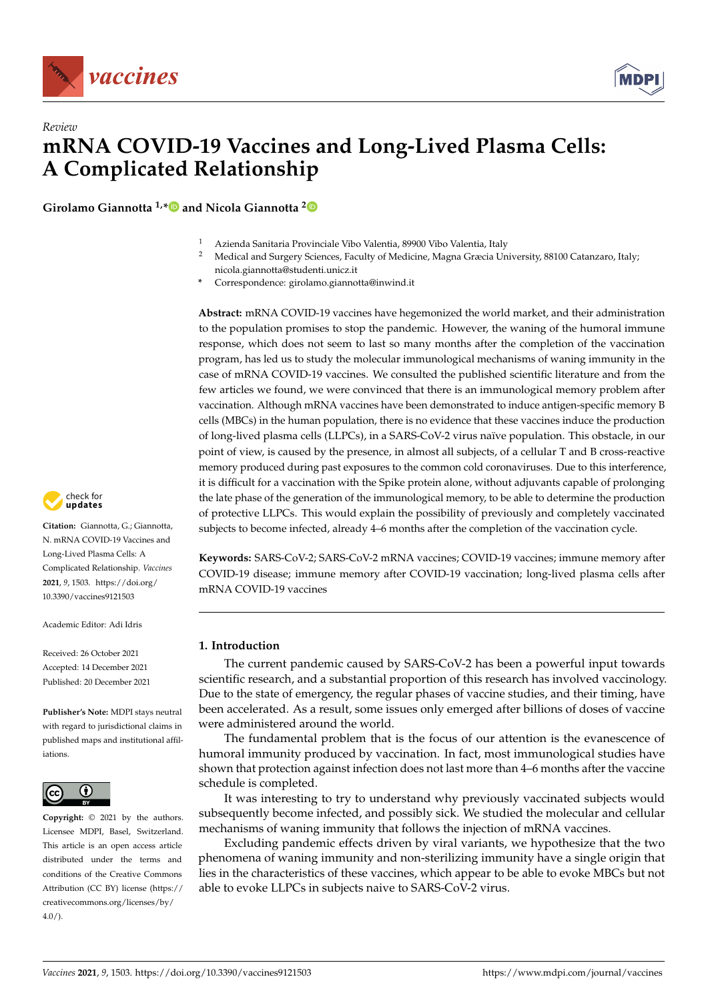

*Review*



# **mRNA COVID-19 Vaccines and Long-Lived Plasma Cells: A Complicated Relationship**

**Girolamo Giannotta 1,[\\*](https://orcid.org/0000-0001-9766-3326) and Nicola Giannotta [2](https://orcid.org/0000-0003-1701-7696)**

- 1 Azienda Sanitaria Provinciale Vibo Valentia, 89900 Vibo Valentia, Italy<br>2 Medical and Surgery Sciences, Faculty of Medicine, Mogre Crossis Un
	- <sup>2</sup> Medical and Surgery Sciences, Faculty of Medicine, Magna Græcia University, 88100 Catanzaro, Italy; nicola.giannotta@studenti.unicz.it
- **\*** Correspondence: girolamo.giannotta@inwind.it

**Abstract:** mRNA COVID-19 vaccines have hegemonized the world market, and their administration to the population promises to stop the pandemic. However, the waning of the humoral immune response, which does not seem to last so many months after the completion of the vaccination program, has led us to study the molecular immunological mechanisms of waning immunity in the case of mRNA COVID-19 vaccines. We consulted the published scientific literature and from the few articles we found, we were convinced that there is an immunological memory problem after vaccination. Although mRNA vaccines have been demonstrated to induce antigen-specific memory B cells (MBCs) in the human population, there is no evidence that these vaccines induce the production of long-lived plasma cells (LLPCs), in a SARS-CoV-2 virus naïve population. This obstacle, in our point of view, is caused by the presence, in almost all subjects, of a cellular T and B cross-reactive memory produced during past exposures to the common cold coronaviruses. Due to this interference, it is difficult for a vaccination with the Spike protein alone, without adjuvants capable of prolonging the late phase of the generation of the immunological memory, to be able to determine the production of protective LLPCs. This would explain the possibility of previously and completely vaccinated subjects to become infected, already 4–6 months after the completion of the vaccination cycle.

**Keywords:** SARS-CoV-2; SARS-CoV-2 mRNA vaccines; COVID-19 vaccines; immune memory after COVID-19 disease; immune memory after COVID-19 vaccination; long-lived plasma cells after mRNA COVID-19 vaccines

# **1. Introduction**

The current pandemic caused by SARS-CoV-2 has been a powerful input towards scientific research, and a substantial proportion of this research has involved vaccinology. Due to the state of emergency, the regular phases of vaccine studies, and their timing, have been accelerated. As a result, some issues only emerged after billions of doses of vaccine were administered around the world.

The fundamental problem that is the focus of our attention is the evanescence of humoral immunity produced by vaccination. In fact, most immunological studies have shown that protection against infection does not last more than 4–6 months after the vaccine schedule is completed.

It was interesting to try to understand why previously vaccinated subjects would subsequently become infected, and possibly sick. We studied the molecular and cellular mechanisms of waning immunity that follows the injection of mRNA vaccines.

Excluding pandemic effects driven by viral variants, we hypothesize that the two phenomena of waning immunity and non-sterilizing immunity have a single origin that lies in the characteristics of these vaccines, which appear to be able to evoke MBCs but not able to evoke LLPCs in subjects naive to SARS-CoV-2 virus.



**Citation:** Giannotta, G.; Giannotta, N. mRNA COVID-19 Vaccines and Long-Lived Plasma Cells: A Complicated Relationship. *Vaccines* **2021**, *9*, 1503. [https://doi.org/](https://doi.org/10.3390/vaccines9121503) [10.3390/vaccines9121503](https://doi.org/10.3390/vaccines9121503)

Academic Editor: Adi Idris

Received: 26 October 2021 Accepted: 14 December 2021 Published: 20 December 2021

**Publisher's Note:** MDPI stays neutral with regard to jurisdictional claims in published maps and institutional affiliations.



**Copyright:** © 2021 by the authors. Licensee MDPI, Basel, Switzerland. This article is an open access article distributed under the terms and conditions of the Creative Commons Attribution (CC BY) license (https:/[/](https://creativecommons.org/licenses/by/4.0/) [creativecommons.org/licenses/by/](https://creativecommons.org/licenses/by/4.0/)  $4.0/$ ).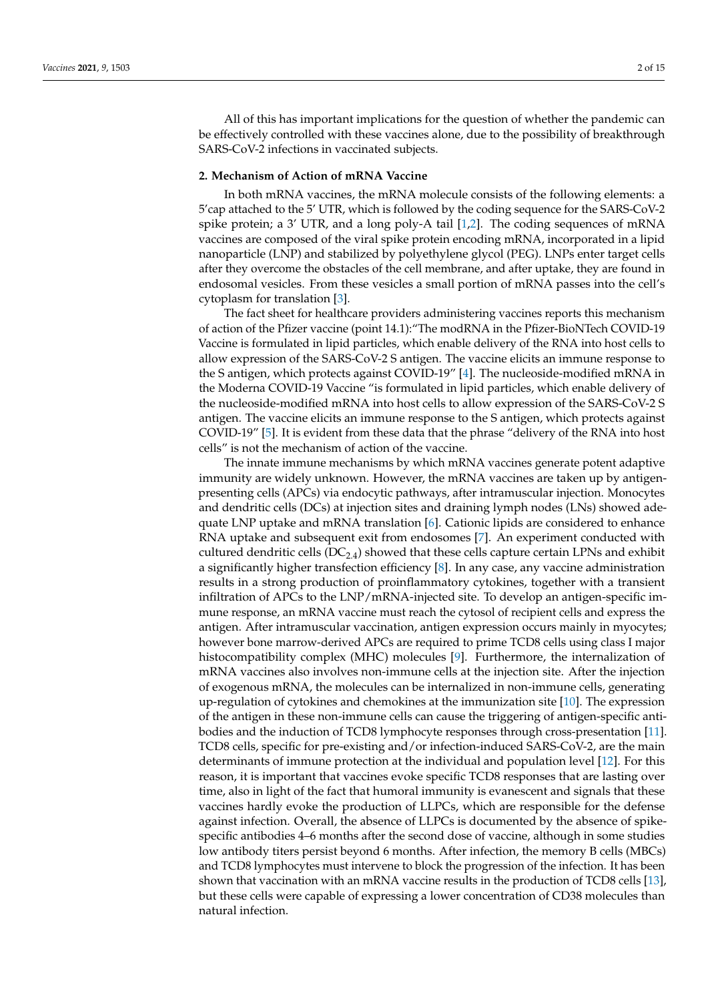All of this has important implications for the question of whether the pandemic can be effectively controlled with these vaccines alone, due to the possibility of breakthrough SARS-CoV-2 infections in vaccinated subjects.

# **2. Mechanism of Action of mRNA Vaccine**

In both mRNA vaccines, the mRNA molecule consists of the following elements: a 5'cap attached to the 5' UTR, which is followed by the coding sequence for the SARS-CoV-2 spike protein; a 3' UTR, and a long poly-A tail [\[1,](#page-10-0)[2\]](#page-10-1). The coding sequences of mRNA vaccines are composed of the viral spike protein encoding mRNA, incorporated in a lipid nanoparticle (LNP) and stabilized by polyethylene glycol (PEG). LNPs enter target cells after they overcome the obstacles of the cell membrane, and after uptake, they are found in endosomal vesicles. From these vesicles a small portion of mRNA passes into the cell's cytoplasm for translation [\[3\]](#page-10-2).

The fact sheet for healthcare providers administering vaccines reports this mechanism of action of the Pfizer vaccine (point 14.1):"The modRNA in the Pfizer-BioNTech COVID-19 Vaccine is formulated in lipid particles, which enable delivery of the RNA into host cells to allow expression of the SARS-CoV-2 S antigen. The vaccine elicits an immune response to the S antigen, which protects against COVID-19" [\[4\]](#page-11-0). The nucleoside-modified mRNA in the Moderna COVID-19 Vaccine "is formulated in lipid particles, which enable delivery of the nucleoside-modified mRNA into host cells to allow expression of the SARS-CoV-2 S antigen. The vaccine elicits an immune response to the S antigen, which protects against COVID-19" [\[5\]](#page-11-1). It is evident from these data that the phrase "delivery of the RNA into host cells" is not the mechanism of action of the vaccine.

The innate immune mechanisms by which mRNA vaccines generate potent adaptive immunity are widely unknown. However, the mRNA vaccines are taken up by antigenpresenting cells (APCs) via endocytic pathways, after intramuscular injection. Monocytes and dendritic cells (DCs) at injection sites and draining lymph nodes (LNs) showed adequate LNP uptake and mRNA translation [\[6\]](#page-11-2). Cationic lipids are considered to enhance RNA uptake and subsequent exit from endosomes [\[7\]](#page-11-3). An experiment conducted with cultured dendritic cells  $(DC_{2,4})$  showed that these cells capture certain LPNs and exhibit a significantly higher transfection efficiency [\[8\]](#page-11-4). In any case, any vaccine administration results in a strong production of proinflammatory cytokines, together with a transient infiltration of APCs to the LNP/mRNA-injected site. To develop an antigen-specific immune response, an mRNA vaccine must reach the cytosol of recipient cells and express the antigen. After intramuscular vaccination, antigen expression occurs mainly in myocytes; however bone marrow-derived APCs are required to prime TCD8 cells using class I major histocompatibility complex (MHC) molecules [\[9\]](#page-11-5). Furthermore, the internalization of mRNA vaccines also involves non-immune cells at the injection site. After the injection of exogenous mRNA, the molecules can be internalized in non-immune cells, generating up-regulation of cytokines and chemokines at the immunization site [\[10\]](#page-11-6). The expression of the antigen in these non-immune cells can cause the triggering of antigen-specific antibodies and the induction of TCD8 lymphocyte responses through cross-presentation [\[11\]](#page-11-7). TCD8 cells, specific for pre-existing and/or infection-induced SARS-CoV-2, are the main determinants of immune protection at the individual and population level [\[12\]](#page-11-8). For this reason, it is important that vaccines evoke specific TCD8 responses that are lasting over time, also in light of the fact that humoral immunity is evanescent and signals that these vaccines hardly evoke the production of LLPCs, which are responsible for the defense against infection. Overall, the absence of LLPCs is documented by the absence of spikespecific antibodies 4–6 months after the second dose of vaccine, although in some studies low antibody titers persist beyond 6 months. After infection, the memory B cells (MBCs) and TCD8 lymphocytes must intervene to block the progression of the infection. It has been shown that vaccination with an mRNA vaccine results in the production of TCD8 cells [\[13\]](#page-11-9), but these cells were capable of expressing a lower concentration of CD38 molecules than natural infection.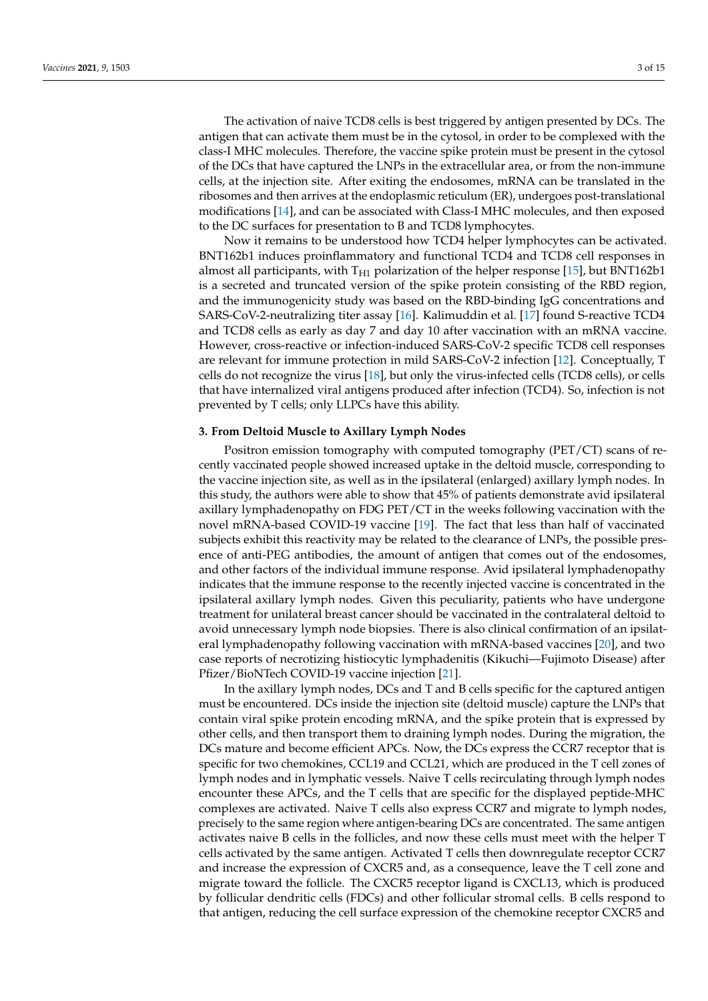The activation of naive TCD8 cells is best triggered by antigen presented by DCs. The antigen that can activate them must be in the cytosol, in order to be complexed with the class-I MHC molecules. Therefore, the vaccine spike protein must be present in the cytosol of the DCs that have captured the LNPs in the extracellular area, or from the non-immune cells, at the injection site. After exiting the endosomes, mRNA can be translated in the ribosomes and then arrives at the endoplasmic reticulum (ER), undergoes post-translational modifications [\[14\]](#page-11-10), and can be associated with Class-I MHC molecules, and then exposed to the DC surfaces for presentation to B and TCD8 lymphocytes.

Now it remains to be understood how TCD4 helper lymphocytes can be activated. BNT162b1 induces proinflammatory and functional TCD4 and TCD8 cell responses in almost all participants, with  $T_{H1}$  polarization of the helper response [\[15\]](#page-11-11), but BNT162b1 is a secreted and truncated version of the spike protein consisting of the RBD region, and the immunogenicity study was based on the RBD-binding IgG concentrations and SARS-CoV-2-neutralizing titer assay [\[16\]](#page-11-12). Kalimuddin et al. [\[17\]](#page-11-13) found S-reactive TCD4 and TCD8 cells as early as day 7 and day 10 after vaccination with an mRNA vaccine. However, cross-reactive or infection-induced SARS-CoV-2 specific TCD8 cell responses are relevant for immune protection in mild SARS-CoV-2 infection [\[12\]](#page-11-8). Conceptually, T cells do not recognize the virus [\[18\]](#page-11-14), but only the virus-infected cells (TCD8 cells), or cells that have internalized viral antigens produced after infection (TCD4). So, infection is not prevented by T cells; only LLPCs have this ability.

### **3. From Deltoid Muscle to Axillary Lymph Nodes**

Positron emission tomography with computed tomography (PET/CT) scans of recently vaccinated people showed increased uptake in the deltoid muscle, corresponding to the vaccine injection site, as well as in the ipsilateral (enlarged) axillary lymph nodes. In this study, the authors were able to show that 45% of patients demonstrate avid ipsilateral axillary lymphadenopathy on FDG PET/CT in the weeks following vaccination with the novel mRNA-based COVID-19 vaccine [\[19\]](#page-11-15). The fact that less than half of vaccinated subjects exhibit this reactivity may be related to the clearance of LNPs, the possible presence of anti-PEG antibodies, the amount of antigen that comes out of the endosomes, and other factors of the individual immune response. Avid ipsilateral lymphadenopathy indicates that the immune response to the recently injected vaccine is concentrated in the ipsilateral axillary lymph nodes. Given this peculiarity, patients who have undergone treatment for unilateral breast cancer should be vaccinated in the contralateral deltoid to avoid unnecessary lymph node biopsies. There is also clinical confirmation of an ipsilateral lymphadenopathy following vaccination with mRNA-based vaccines [\[20\]](#page-11-16), and two case reports of necrotizing histiocytic lymphadenitis (Kikuchi—Fujimoto Disease) after Pfizer/BioNTech COVID-19 vaccine injection [\[21\]](#page-11-17).

In the axillary lymph nodes, DCs and T and B cells specific for the captured antigen must be encountered. DCs inside the injection site (deltoid muscle) capture the LNPs that contain viral spike protein encoding mRNA, and the spike protein that is expressed by other cells, and then transport them to draining lymph nodes. During the migration, the DCs mature and become efficient APCs. Now, the DCs express the CCR7 receptor that is specific for two chemokines, CCL19 and CCL21, which are produced in the T cell zones of lymph nodes and in lymphatic vessels. Naive T cells recirculating through lymph nodes encounter these APCs, and the T cells that are specific for the displayed peptide-MHC complexes are activated. Naive T cells also express CCR7 and migrate to lymph nodes, precisely to the same region where antigen-bearing DCs are concentrated. The same antigen activates naive B cells in the follicles, and now these cells must meet with the helper T cells activated by the same antigen. Activated T cells then downregulate receptor CCR7 and increase the expression of CXCR5 and, as a consequence, leave the T cell zone and migrate toward the follicle. The CXCR5 receptor ligand is CXCL13, which is produced by follicular dendritic cells (FDCs) and other follicular stromal cells. B cells respond to that antigen, reducing the cell surface expression of the chemokine receptor CXCR5 and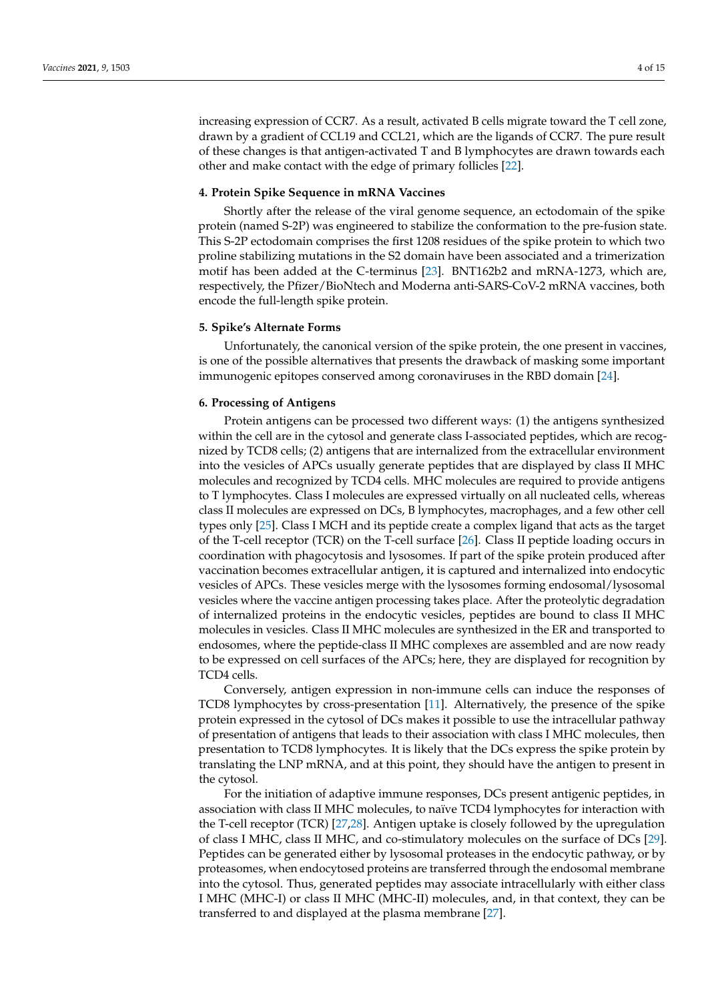increasing expression of CCR7. As a result, activated B cells migrate toward the T cell zone, drawn by a gradient of CCL19 and CCL21, which are the ligands of CCR7. The pure result of these changes is that antigen-activated T and B lymphocytes are drawn towards each other and make contact with the edge of primary follicles [\[22\]](#page-11-18).

# **4. Protein Spike Sequence in mRNA Vaccines**

Shortly after the release of the viral genome sequence, an ectodomain of the spike protein (named S-2P) was engineered to stabilize the conformation to the pre-fusion state. This S-2P ectodomain comprises the first 1208 residues of the spike protein to which two proline stabilizing mutations in the S2 domain have been associated and a trimerization motif has been added at the C-terminus [\[23\]](#page-11-19). BNT162b2 and mRNA-1273, which are, respectively, the Pfizer/BioNtech and Moderna anti-SARS-CoV-2 mRNA vaccines, both encode the full-length spike protein.

### **5. Spike's Alternate Forms**

Unfortunately, the canonical version of the spike protein, the one present in vaccines, is one of the possible alternatives that presents the drawback of masking some important immunogenic epitopes conserved among coronaviruses in the RBD domain [\[24\]](#page-11-20).

### **6. Processing of Antigens**

Protein antigens can be processed two different ways: (1) the antigens synthesized within the cell are in the cytosol and generate class I-associated peptides, which are recognized by TCD8 cells; (2) antigens that are internalized from the extracellular environment into the vesicles of APCs usually generate peptides that are displayed by class II MHC molecules and recognized by TCD4 cells. MHC molecules are required to provide antigens to T lymphocytes. Class I molecules are expressed virtually on all nucleated cells, whereas class II molecules are expressed on DCs, B lymphocytes, macrophages, and a few other cell types only [\[25\]](#page-11-21). Class I MCH and its peptide create a complex ligand that acts as the target of the T-cell receptor (TCR) on the T-cell surface [\[26\]](#page-11-22). Class II peptide loading occurs in coordination with phagocytosis and lysosomes. If part of the spike protein produced after vaccination becomes extracellular antigen, it is captured and internalized into endocytic vesicles of APCs. These vesicles merge with the lysosomes forming endosomal/lysosomal vesicles where the vaccine antigen processing takes place. After the proteolytic degradation of internalized proteins in the endocytic vesicles, peptides are bound to class II MHC molecules in vesicles. Class II MHC molecules are synthesized in the ER and transported to endosomes, where the peptide-class II MHC complexes are assembled and are now ready to be expressed on cell surfaces of the APCs; here, they are displayed for recognition by TCD4 cells.

Conversely, antigen expression in non-immune cells can induce the responses of TCD8 lymphocytes by cross-presentation [\[11\]](#page-11-7). Alternatively, the presence of the spike protein expressed in the cytosol of DCs makes it possible to use the intracellular pathway of presentation of antigens that leads to their association with class I MHC molecules, then presentation to TCD8 lymphocytes. It is likely that the DCs express the spike protein by translating the LNP mRNA, and at this point, they should have the antigen to present in the cytosol.

For the initiation of adaptive immune responses, DCs present antigenic peptides, in association with class II MHC molecules, to naïve TCD4 lymphocytes for interaction with the T-cell receptor (TCR) [\[27](#page-11-23)[,28\]](#page-11-24). Antigen uptake is closely followed by the upregulation of class I MHC, class II MHC, and co-stimulatory molecules on the surface of DCs [\[29\]](#page-12-0). Peptides can be generated either by lysosomal proteases in the endocytic pathway, or by proteasomes, when endocytosed proteins are transferred through the endosomal membrane into the cytosol. Thus, generated peptides may associate intracellularly with either class I MHC (MHC-I) or class II MHC (MHC-II) molecules, and, in that context, they can be transferred to and displayed at the plasma membrane [\[27\]](#page-11-23).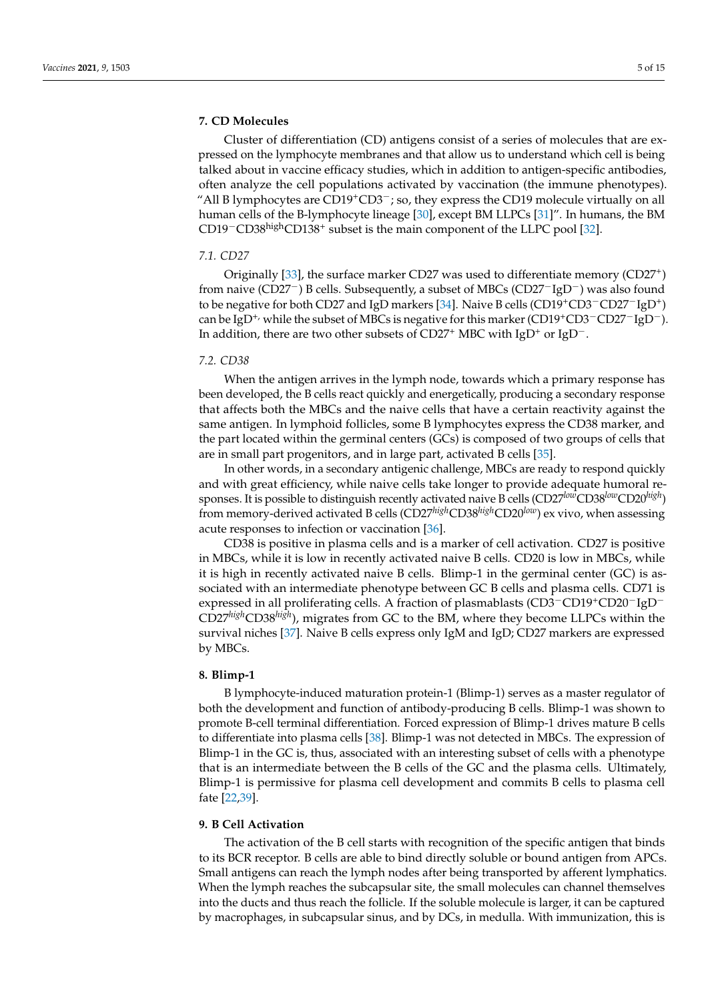# **7. CD Molecules**

Cluster of differentiation (CD) antigens consist of a series of molecules that are expressed on the lymphocyte membranes and that allow us to understand which cell is being talked about in vaccine efficacy studies, which in addition to antigen-specific antibodies, often analyze the cell populations activated by vaccination (the immune phenotypes). "All B lymphocytes are  $CD19+CD3^-$ ; so, they express the CD19 molecule virtually on all human cells of the B-lymphocyte lineage [\[30\]](#page-12-1), except BM LLPCs [\[31\]](#page-12-2)". In humans, the BM CD19<sup>-</sup>CD38<sup>high</sup>CD138<sup>+</sup> subset is the main component of the LLPC pool [\[32\]](#page-12-3).

### *7.1. CD27*

Originally [\[33\]](#page-12-4), the surface marker CD27 was used to differentiate memory (CD27<sup>+</sup>) from naive (CD27−) B cells. Subsequently, a subset of MBCs (CD27−IgD−) was also found to be negative for both CD27 and IgD markers [\[34\]](#page-12-5). Naive B cells (CD19+CD3−CD27−IgD<sup>+</sup> ) can be IgD<sup>+,</sup> while the subset of MBCs is negative for this marker (CD19<sup>+</sup>CD3<sup>-</sup>CD27<sup>-</sup>IgD<sup>-</sup>). In addition, there are two other subsets of CD27<sup>+</sup> MBC with IgD<sup>+</sup> or IgD<sup>−</sup>.

### *7.2. CD38*

When the antigen arrives in the lymph node, towards which a primary response has been developed, the B cells react quickly and energetically, producing a secondary response that affects both the MBCs and the naive cells that have a certain reactivity against the same antigen. In lymphoid follicles, some B lymphocytes express the CD38 marker, and the part located within the germinal centers (GCs) is composed of two groups of cells that are in small part progenitors, and in large part, activated B cells [\[35\]](#page-12-6).

In other words, in a secondary antigenic challenge, MBCs are ready to respond quickly and with great efficiency, while naive cells take longer to provide adequate humoral responses. It is possible to distinguish recently activated naive B cells (CD27*low*CD38*low*CD20*high*) from memory-derived activated B cells (CD27*high*CD38*high*CD20*low*) ex vivo, when assessing acute responses to infection or vaccination [\[36\]](#page-12-7).

CD38 is positive in plasma cells and is a marker of cell activation. CD27 is positive in MBCs, while it is low in recently activated naive B cells. CD20 is low in MBCs, while it is high in recently activated naive B cells. Blimp-1 in the germinal center (GC) is associated with an intermediate phenotype between GC B cells and plasma cells. CD71 is expressed in all proliferating cells. A fraction of plasmablasts (CD3−CD19+CD20−IgD<sup>−</sup> CD27*high*CD38*high*), migrates from GC to the BM, where they become LLPCs within the survival niches [\[37\]](#page-12-8). Naive B cells express only IgM and IgD; CD27 markers are expressed by MBCs.

# **8. Blimp-1**

B lymphocyte-induced maturation protein-1 (Blimp-1) serves as a master regulator of both the development and function of antibody-producing B cells. Blimp-1 was shown to promote B-cell terminal differentiation. Forced expression of Blimp-1 drives mature B cells to differentiate into plasma cells [\[38\]](#page-12-9). Blimp-1 was not detected in MBCs. The expression of Blimp-1 in the GC is, thus, associated with an interesting subset of cells with a phenotype that is an intermediate between the B cells of the GC and the plasma cells. Ultimately, Blimp-1 is permissive for plasma cell development and commits B cells to plasma cell fate [\[22](#page-11-18)[,39\]](#page-12-10).

# **9. B Cell Activation**

The activation of the B cell starts with recognition of the specific antigen that binds to its BCR receptor. B cells are able to bind directly soluble or bound antigen from APCs. Small antigens can reach the lymph nodes after being transported by afferent lymphatics. When the lymph reaches the subcapsular site, the small molecules can channel themselves into the ducts and thus reach the follicle. If the soluble molecule is larger, it can be captured by macrophages, in subcapsular sinus, and by DCs, in medulla. With immunization, this is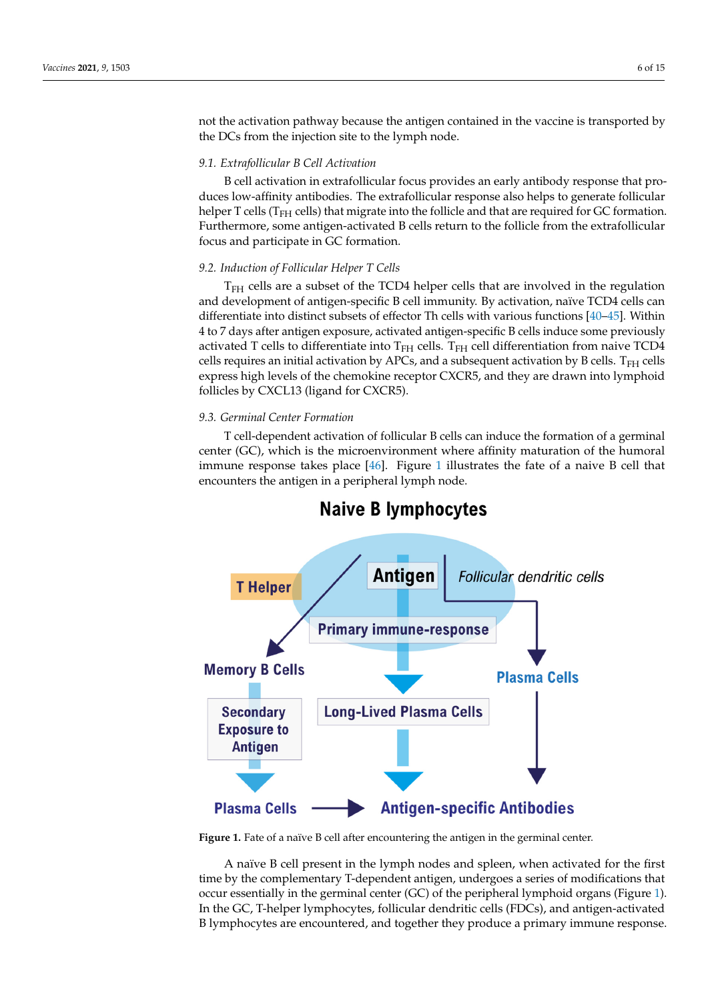not the activation pathway because the antigen contained in the vaccine is transported by the DCs from the injection site to the lymph node.

duces low-affinity antibodies. The extrafollicular response also helps to generate following to generate follow

# *9.1. Extrafollicular B Cell Activation*

B cell activation in extrafollicular focus provides an early antibody response that produces low-affinity antibodies. The extrafollicular response also helps to generate follicular helper T cells ( $T_{FH}$  cells) that migrate into the follicle and that are required for GC formation. Furthermore, some antigen-activated B cells return to the follicle from the extrafollicular focus and participate in GC formation.

# 9.2. Induction of Follicular Helper T Cells

T<sub>FH</sub> cells are a subset of the TCD4 helper cells that are involved in the regulation and development of antigen-specific B cell immunity. By activation, naïve TCD4 cells can<br>cells can initial activation by APCs, and a subsequent activation by B cells. The subsequent activation by B c differentiate into distinct subsets of effector Th cells with various functions [\[40](#page-12-11)[–45\]](#page-12-12). Within americhatic mio district subsets of enector Tri cells with various functions  $[10, 45]$ . Within 4 to 7 days after antigen exposure, activated antigen-specific B cells induce some previously activated T cells to differentiate into  $T_{FH}$  cells.  $T_{FH}$  cell differentiation from naive TCD4 cells requires an initial activation by APCs, and a subsequent activation by B cells.  $T<sub>FH</sub>$  cells express high levels of the chemokine receptor CXCR5, and they are drawn into lymphoid<br> **6.3. Germinal CENCLA** (ligand for CYCP5) follicles by CXCL13 (ligand for CXCR5).

### *9.3. Germinal Center Formation*  $T_{\rm T}$  celle-dependent activation of following can induce the following can induce the formation of a germinal  $\sigma$

T cell-dependent activation of follicular B cells can induce the formation of a germinal center (GC), which is the microenvironment where affinity maturation of the humoral immune response takes place  $[46]$ . Figure 1 illustrates the fate of a naive B cell that encounters the antigen in a peripheral lymph node.

<span id="page-5-0"></span>

# Naive B lymphocytes

Figure 1. Fate of a naïve B cell after encountering the antigen in the germinal center.

Figure 1. That the germinal center. The antigen in the general center and the germinal center. The antigen in the germinal center. The antigen is the complementary T-dependent antigen, undergoes a series of modifications t A naïve B cell present in the lymph nodes and spleen, when activated for the first occur essentially in the germinal center (GC) of the peripheral lymphoid organs (Figure [1\)](#page-5-0). In the GC, T-helper lymphocytes, follicular dendritic cells (FDCs), and antigen-activated B lymphocytes are encountered, and together they produce a primary immune response.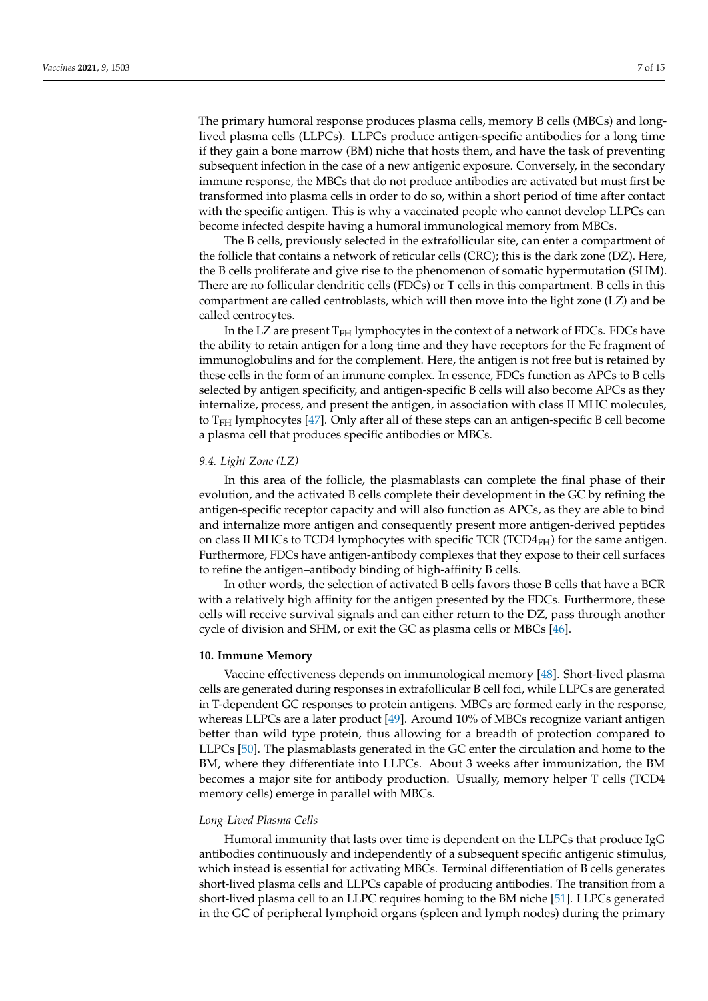The primary humoral response produces plasma cells, memory B cells (MBCs) and longlived plasma cells (LLPCs). LLPCs produce antigen-specific antibodies for a long time if they gain a bone marrow (BM) niche that hosts them, and have the task of preventing subsequent infection in the case of a new antigenic exposure. Conversely, in the secondary immune response, the MBCs that do not produce antibodies are activated but must first be transformed into plasma cells in order to do so, within a short period of time after contact with the specific antigen. This is why a vaccinated people who cannot develop LLPCs can become infected despite having a humoral immunological memory from MBCs.

The B cells, previously selected in the extrafollicular site, can enter a compartment of the follicle that contains a network of reticular cells (CRC); this is the dark zone (DZ). Here, the B cells proliferate and give rise to the phenomenon of somatic hypermutation (SHM). There are no follicular dendritic cells (FDCs) or T cells in this compartment. B cells in this compartment are called centroblasts, which will then move into the light zone (LZ) and be called centrocytes.

In the LZ are present  $T<sub>FH</sub>$  lymphocytes in the context of a network of FDCs. FDCs have the ability to retain antigen for a long time and they have receptors for the Fc fragment of immunoglobulins and for the complement. Here, the antigen is not free but is retained by these cells in the form of an immune complex. In essence, FDCs function as APCs to B cells selected by antigen specificity, and antigen-specific B cells will also become APCs as they internalize, process, and present the antigen, in association with class II MHC molecules, to  $T<sub>FH</sub>$  lymphocytes [\[47\]](#page-12-14). Only after all of these steps can an antigen-specific B cell become a plasma cell that produces specific antibodies or MBCs.

# *9.4. Light Zone (LZ)*

In this area of the follicle, the plasmablasts can complete the final phase of their evolution, and the activated B cells complete their development in the GC by refining the antigen-specific receptor capacity and will also function as APCs, as they are able to bind and internalize more antigen and consequently present more antigen-derived peptides on class II MHCs to TCD4 lymphocytes with specific TCR (TCD4 $_{FH}$ ) for the same antigen. Furthermore, FDCs have antigen-antibody complexes that they expose to their cell surfaces to refine the antigen–antibody binding of high-affinity B cells.

In other words, the selection of activated B cells favors those B cells that have a BCR with a relatively high affinity for the antigen presented by the FDCs. Furthermore, these cells will receive survival signals and can either return to the DZ, pass through another cycle of division and SHM, or exit the GC as plasma cells or MBCs [\[46\]](#page-12-13).

### **10. Immune Memory**

Vaccine effectiveness depends on immunological memory [\[48\]](#page-12-15). Short-lived plasma cells are generated during responses in extrafollicular B cell foci, while LLPCs are generated in T-dependent GC responses to protein antigens. MBCs are formed early in the response, whereas LLPCs are a later product [\[49\]](#page-12-16). Around 10% of MBCs recognize variant antigen better than wild type protein, thus allowing for a breadth of protection compared to LLPCs [\[50\]](#page-12-17). The plasmablasts generated in the GC enter the circulation and home to the BM, where they differentiate into LLPCs. About 3 weeks after immunization, the BM becomes a major site for antibody production. Usually, memory helper T cells (TCD4 memory cells) emerge in parallel with MBCs.

### *Long-Lived Plasma Cells*

Humoral immunity that lasts over time is dependent on the LLPCs that produce IgG antibodies continuously and independently of a subsequent specific antigenic stimulus, which instead is essential for activating MBCs. Terminal differentiation of B cells generates short-lived plasma cells and LLPCs capable of producing antibodies. The transition from a short-lived plasma cell to an LLPC requires homing to the BM niche [\[51\]](#page-12-18). LLPCs generated in the GC of peripheral lymphoid organs (spleen and lymph nodes) during the primary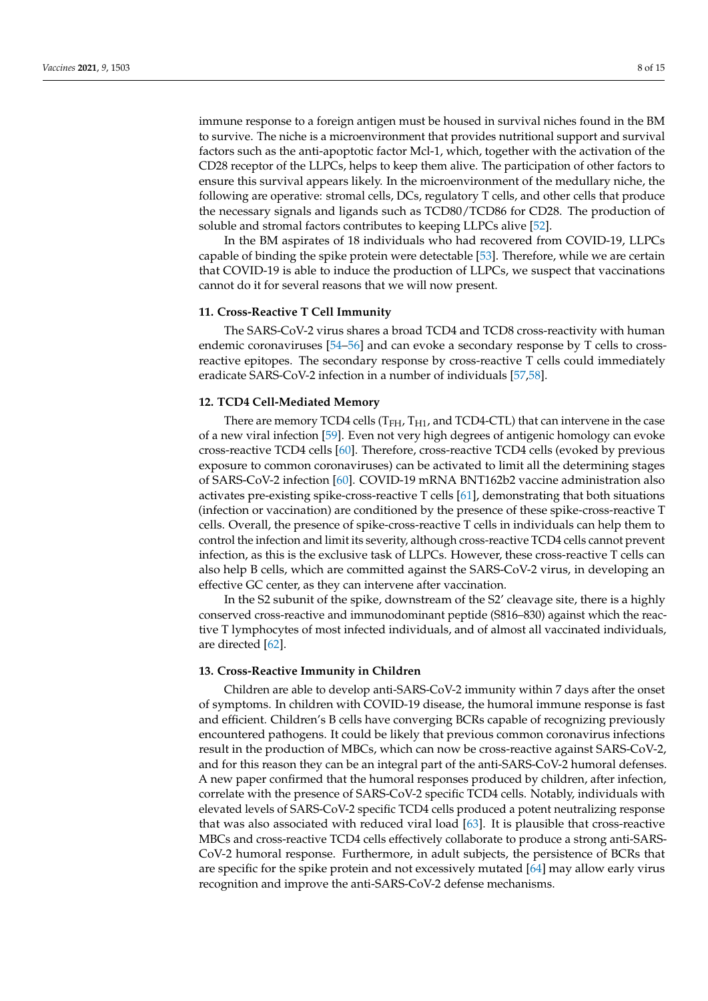immune response to a foreign antigen must be housed in survival niches found in the BM to survive. The niche is a microenvironment that provides nutritional support and survival factors such as the anti-apoptotic factor Mcl-1, which, together with the activation of the CD28 receptor of the LLPCs, helps to keep them alive. The participation of other factors to ensure this survival appears likely. In the microenvironment of the medullary niche, the following are operative: stromal cells, DCs, regulatory T cells, and other cells that produce the necessary signals and ligands such as TCD80/TCD86 for CD28. The production of soluble and stromal factors contributes to keeping LLPCs alive [\[52\]](#page-12-19).

In the BM aspirates of 18 individuals who had recovered from COVID-19, LLPCs capable of binding the spike protein were detectable [\[53\]](#page-12-20). Therefore, while we are certain that COVID-19 is able to induce the production of LLPCs, we suspect that vaccinations cannot do it for several reasons that we will now present.

### **11. Cross-Reactive T Cell Immunity**

The SARS-CoV-2 virus shares a broad TCD4 and TCD8 cross-reactivity with human endemic coronaviruses [\[54–](#page-12-21)[56\]](#page-12-22) and can evoke a secondary response by T cells to crossreactive epitopes. The secondary response by cross-reactive T cells could immediately eradicate SARS-CoV-2 infection in a number of individuals [\[57](#page-12-23)[,58\]](#page-13-0).

### **12. TCD4 Cell-Mediated Memory**

There are memory TCD4 cells ( $T<sub>FH</sub>$ ,  $T<sub>H1</sub>$ , and TCD4-CTL) that can intervene in the case of a new viral infection [\[59\]](#page-13-1). Even not very high degrees of antigenic homology can evoke cross-reactive TCD4 cells [\[60\]](#page-13-2). Therefore, cross-reactive TCD4 cells (evoked by previous exposure to common coronaviruses) can be activated to limit all the determining stages of SARS-CoV-2 infection [\[60\]](#page-13-2). COVID-19 mRNA BNT162b2 vaccine administration also activates pre-existing spike-cross-reactive T cells [\[61\]](#page-13-3), demonstrating that both situations (infection or vaccination) are conditioned by the presence of these spike-cross-reactive T cells. Overall, the presence of spike-cross-reactive T cells in individuals can help them to control the infection and limit its severity, although cross-reactive TCD4 cells cannot prevent infection, as this is the exclusive task of LLPCs. However, these cross-reactive T cells can also help B cells, which are committed against the SARS-CoV-2 virus, in developing an effective GC center, as they can intervene after vaccination.

In the S2 subunit of the spike, downstream of the S2' cleavage site, there is a highly conserved cross-reactive and immunodominant peptide (S816–830) against which the reactive T lymphocytes of most infected individuals, and of almost all vaccinated individuals, are directed [\[62\]](#page-13-4).

# **13. Cross-Reactive Immunity in Children**

Children are able to develop anti-SARS-CoV-2 immunity within 7 days after the onset of symptoms. In children with COVID-19 disease, the humoral immune response is fast and efficient. Children's B cells have converging BCRs capable of recognizing previously encountered pathogens. It could be likely that previous common coronavirus infections result in the production of MBCs, which can now be cross-reactive against SARS-CoV-2, and for this reason they can be an integral part of the anti-SARS-CoV-2 humoral defenses. A new paper confirmed that the humoral responses produced by children, after infection, correlate with the presence of SARS-CoV-2 specific TCD4 cells. Notably, individuals with elevated levels of SARS-CoV-2 specific TCD4 cells produced a potent neutralizing response that was also associated with reduced viral load [\[63\]](#page-13-5). It is plausible that cross-reactive MBCs and cross-reactive TCD4 cells effectively collaborate to produce a strong anti-SARS-CoV-2 humoral response. Furthermore, in adult subjects, the persistence of BCRs that are specific for the spike protein and not excessively mutated [\[64\]](#page-13-6) may allow early virus recognition and improve the anti-SARS-CoV-2 defense mechanisms.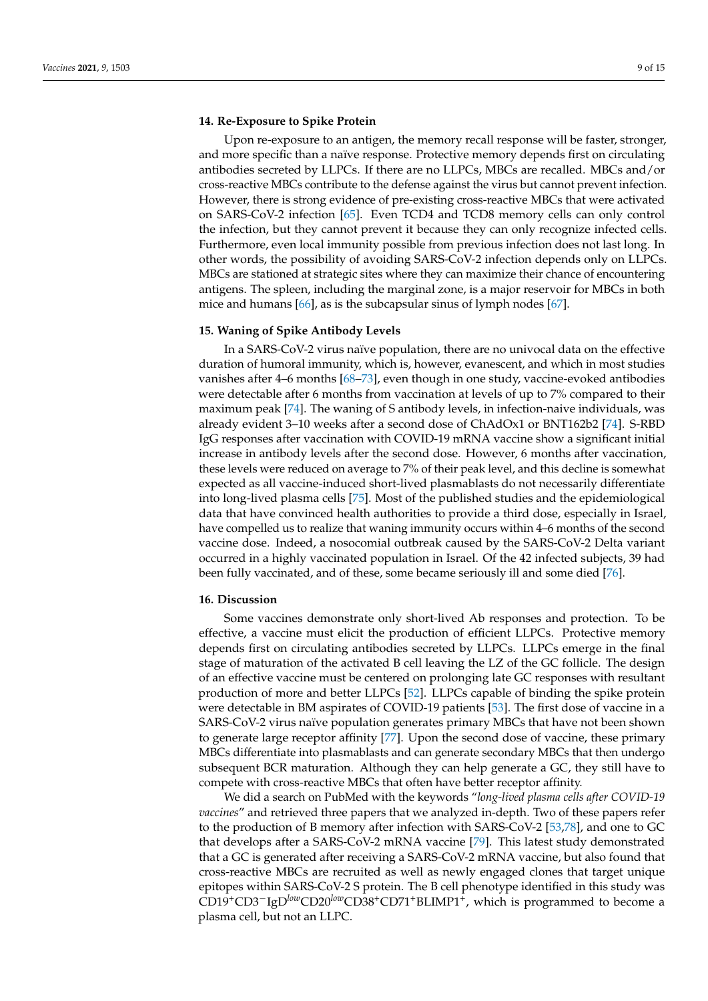### **14. Re-Exposure to Spike Protein**

Upon re-exposure to an antigen, the memory recall response will be faster, stronger, and more specific than a naïve response. Protective memory depends first on circulating antibodies secreted by LLPCs. If there are no LLPCs, MBCs are recalled. MBCs and/or cross-reactive MBCs contribute to the defense against the virus but cannot prevent infection. However, there is strong evidence of pre-existing cross-reactive MBCs that were activated on SARS-CoV-2 infection [\[65\]](#page-13-7). Even TCD4 and TCD8 memory cells can only control the infection, but they cannot prevent it because they can only recognize infected cells. Furthermore, even local immunity possible from previous infection does not last long. In other words, the possibility of avoiding SARS-CoV-2 infection depends only on LLPCs. MBCs are stationed at strategic sites where they can maximize their chance of encountering antigens. The spleen, including the marginal zone, is a major reservoir for MBCs in both mice and humans [\[66\]](#page-13-8), as is the subcapsular sinus of lymph nodes [\[67\]](#page-13-9).

# **15. Waning of Spike Antibody Levels**

In a SARS-CoV-2 virus naïve population, there are no univocal data on the effective duration of humoral immunity, which is, however, evanescent, and which in most studies vanishes after 4–6 months [\[68–](#page-13-10)[73\]](#page-13-11), even though in one study, vaccine-evoked antibodies were detectable after 6 months from vaccination at levels of up to 7% compared to their maximum peak [\[74\]](#page-13-12). The waning of S antibody levels, in infection-naive individuals, was already evident 3–10 weeks after a second dose of ChAdOx1 or BNT162b2 [\[74\]](#page-13-12). S-RBD IgG responses after vaccination with COVID-19 mRNA vaccine show a significant initial increase in antibody levels after the second dose. However, 6 months after vaccination, these levels were reduced on average to 7% of their peak level, and this decline is somewhat expected as all vaccine-induced short-lived plasmablasts do not necessarily differentiate into long-lived plasma cells [\[75\]](#page-13-13). Most of the published studies and the epidemiological data that have convinced health authorities to provide a third dose, especially in Israel, have compelled us to realize that waning immunity occurs within 4–6 months of the second vaccine dose. Indeed, a nosocomial outbreak caused by the SARS-CoV-2 Delta variant occurred in a highly vaccinated population in Israel. Of the 42 infected subjects, 39 had been fully vaccinated, and of these, some became seriously ill and some died [\[76\]](#page-13-14).

#### **16. Discussion**

Some vaccines demonstrate only short-lived Ab responses and protection. To be effective, a vaccine must elicit the production of efficient LLPCs. Protective memory depends first on circulating antibodies secreted by LLPCs. LLPCs emerge in the final stage of maturation of the activated B cell leaving the LZ of the GC follicle. The design of an effective vaccine must be centered on prolonging late GC responses with resultant production of more and better LLPCs [\[52\]](#page-12-19). LLPCs capable of binding the spike protein were detectable in BM aspirates of COVID-19 patients [\[53\]](#page-12-20). The first dose of vaccine in a SARS-CoV-2 virus naïve population generates primary MBCs that have not been shown to generate large receptor affinity [\[77\]](#page-13-15). Upon the second dose of vaccine, these primary MBCs differentiate into plasmablasts and can generate secondary MBCs that then undergo subsequent BCR maturation. Although they can help generate a GC, they still have to compete with cross-reactive MBCs that often have better receptor affinity.

We did a search on PubMed with the keywords "*long-lived plasma cells after COVID-19 vaccines*" and retrieved three papers that we analyzed in-depth. Two of these papers refer to the production of B memory after infection with SARS-CoV-2 [\[53,](#page-12-20)[78\]](#page-13-16), and one to GC that develops after a SARS-CoV-2 mRNA vaccine [\[79\]](#page-13-17). This latest study demonstrated that a GC is generated after receiving a SARS-CoV-2 mRNA vaccine, but also found that cross-reactive MBCs are recruited as well as newly engaged clones that target unique epitopes within SARS-CoV-2 S protein. The B cell phenotype identified in this study was CD19+CD3−IgD*low*CD20*low*CD38+CD71+BLIMP1<sup>+</sup> , which is programmed to become a plasma cell, but not an LLPC.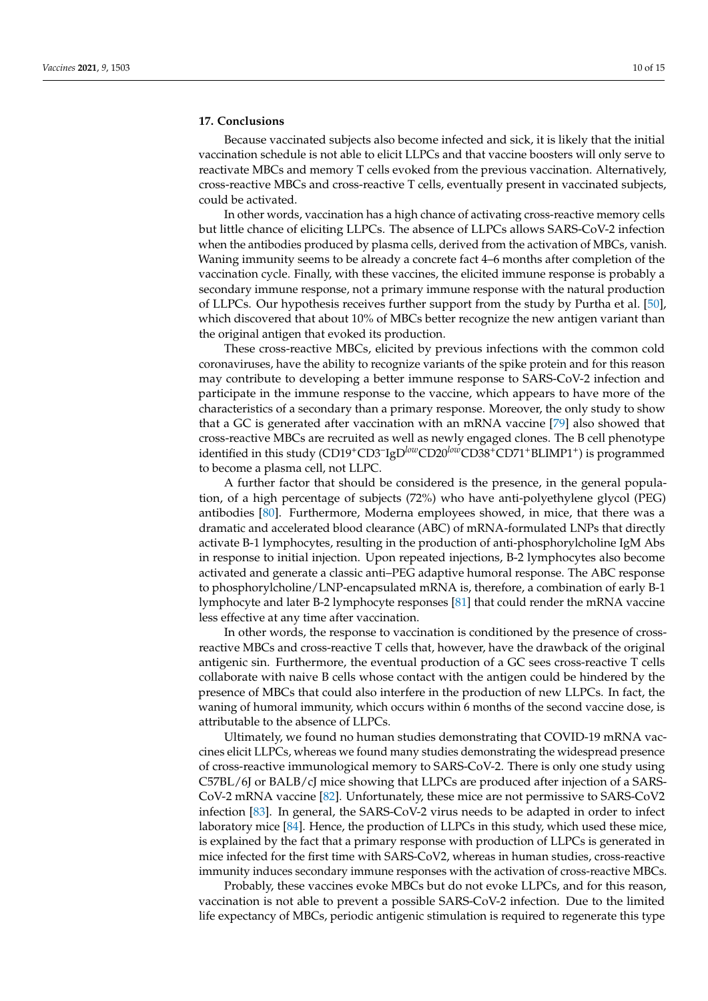# **17. Conclusions**

Because vaccinated subjects also become infected and sick, it is likely that the initial vaccination schedule is not able to elicit LLPCs and that vaccine boosters will only serve to reactivate MBCs and memory T cells evoked from the previous vaccination. Alternatively, cross-reactive MBCs and cross-reactive T cells, eventually present in vaccinated subjects, could be activated.

In other words, vaccination has a high chance of activating cross-reactive memory cells but little chance of eliciting LLPCs. The absence of LLPCs allows SARS-CoV-2 infection when the antibodies produced by plasma cells, derived from the activation of MBCs, vanish. Waning immunity seems to be already a concrete fact 4–6 months after completion of the vaccination cycle. Finally, with these vaccines, the elicited immune response is probably a secondary immune response, not a primary immune response with the natural production of LLPCs. Our hypothesis receives further support from the study by Purtha et al. [\[50\]](#page-12-17), which discovered that about 10% of MBCs better recognize the new antigen variant than the original antigen that evoked its production.

These cross-reactive MBCs, elicited by previous infections with the common cold coronaviruses, have the ability to recognize variants of the spike protein and for this reason may contribute to developing a better immune response to SARS-CoV-2 infection and participate in the immune response to the vaccine, which appears to have more of the characteristics of a secondary than a primary response. Moreover, the only study to show that a GC is generated after vaccination with an mRNA vaccine [\[79\]](#page-13-17) also showed that cross-reactive MBCs are recruited as well as newly engaged clones. The B cell phenotype identified in this study (CD19+CD3– IgD*low*CD20*low*CD38+CD71+BLIMP1<sup>+</sup> ) is programmed to become a plasma cell, not LLPC.

A further factor that should be considered is the presence, in the general population, of a high percentage of subjects (72%) who have anti-polyethylene glycol (PEG) antibodies [\[80\]](#page-14-0). Furthermore, Moderna employees showed, in mice, that there was a dramatic and accelerated blood clearance (ABC) of mRNA-formulated LNPs that directly activate B-1 lymphocytes, resulting in the production of anti-phosphorylcholine IgM Abs in response to initial injection. Upon repeated injections, B-2 lymphocytes also become activated and generate a classic anti–PEG adaptive humoral response. The ABC response to phosphorylcholine/LNP-encapsulated mRNA is, therefore, a combination of early B-1 lymphocyte and later B-2 lymphocyte responses [\[81\]](#page-14-1) that could render the mRNA vaccine less effective at any time after vaccination.

In other words, the response to vaccination is conditioned by the presence of crossreactive MBCs and cross-reactive T cells that, however, have the drawback of the original antigenic sin. Furthermore, the eventual production of a GC sees cross-reactive T cells collaborate with naive B cells whose contact with the antigen could be hindered by the presence of MBCs that could also interfere in the production of new LLPCs. In fact, the waning of humoral immunity, which occurs within 6 months of the second vaccine dose, is attributable to the absence of LLPCs.

Ultimately, we found no human studies demonstrating that COVID-19 mRNA vaccines elicit LLPCs, whereas we found many studies demonstrating the widespread presence of cross-reactive immunological memory to SARS-CoV-2. There is only one study using C57BL/6J or BALB/cJ mice showing that LLPCs are produced after injection of a SARS-CoV-2 mRNA vaccine [\[82\]](#page-14-2). Unfortunately, these mice are not permissive to SARS-CoV2 infection [\[83\]](#page-14-3). In general, the SARS-CoV-2 virus needs to be adapted in order to infect laboratory mice [\[84\]](#page-14-4). Hence, the production of LLPCs in this study, which used these mice, is explained by the fact that a primary response with production of LLPCs is generated in mice infected for the first time with SARS-CoV2, whereas in human studies, cross-reactive immunity induces secondary immune responses with the activation of cross-reactive MBCs.

Probably, these vaccines evoke MBCs but do not evoke LLPCs, and for this reason, vaccination is not able to prevent a possible SARS-CoV-2 infection. Due to the limited life expectancy of MBCs, periodic antigenic stimulation is required to regenerate this type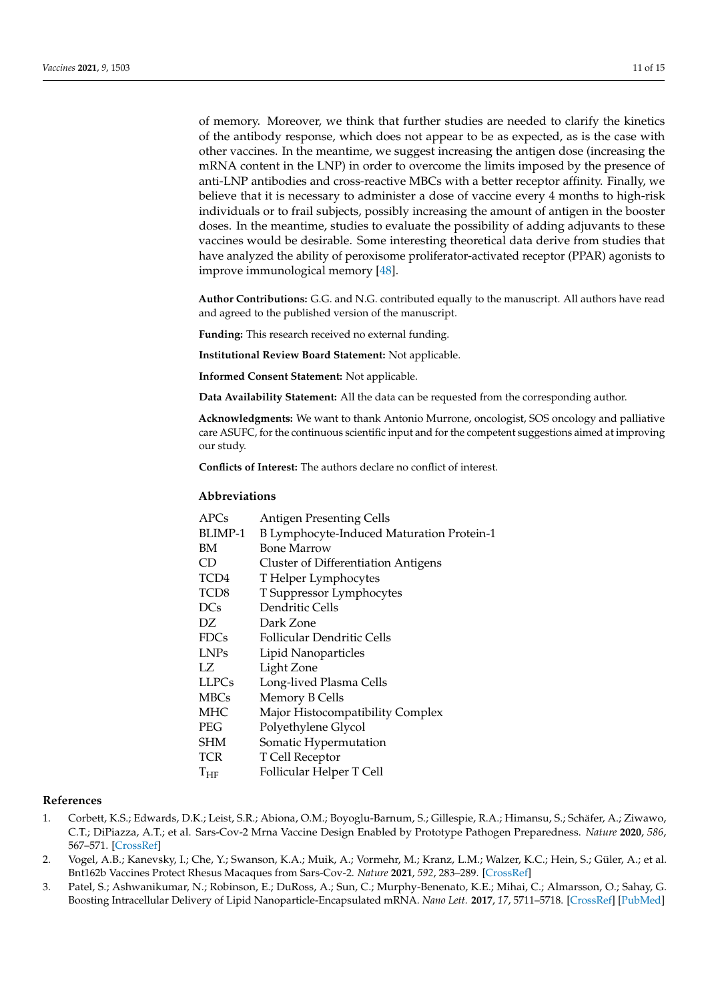of memory. Moreover, we think that further studies are needed to clarify the kinetics of the antibody response, which does not appear to be as expected, as is the case with other vaccines. In the meantime, we suggest increasing the antigen dose (increasing the mRNA content in the LNP) in order to overcome the limits imposed by the presence of anti-LNP antibodies and cross-reactive MBCs with a better receptor affinity. Finally, we believe that it is necessary to administer a dose of vaccine every 4 months to high-risk individuals or to frail subjects, possibly increasing the amount of antigen in the booster doses. In the meantime, studies to evaluate the possibility of adding adjuvants to these vaccines would be desirable. Some interesting theoretical data derive from studies that have analyzed the ability of peroxisome proliferator-activated receptor (PPAR) agonists to improve immunological memory [\[48\]](#page-12-15).

**Author Contributions:** G.G. and N.G. contributed equally to the manuscript. All authors have read and agreed to the published version of the manuscript.

**Funding:** This research received no external funding.

**Institutional Review Board Statement:** Not applicable.

**Informed Consent Statement:** Not applicable.

**Data Availability Statement:** All the data can be requested from the corresponding author.

**Acknowledgments:** We want to thank Antonio Murrone, oncologist, SOS oncology and palliative care ASUFC, for the continuous scientific input and for the competent suggestions aimed at improving our study.

**Conflicts of Interest:** The authors declare no conflict of interest.

### **Abbreviations**

| APCs             | <b>Antigen Presenting Cells</b>            |
|------------------|--------------------------------------------|
| BLIMP-1          | B Lymphocyte-Induced Maturation Protein-1  |
| BМ               | Bone Marrow                                |
| CD               | <b>Cluster of Differentiation Antigens</b> |
| TCD4             | T Helper Lymphocytes                       |
| TCD <sub>8</sub> | T Suppressor Lymphocytes                   |
| <b>DCs</b>       | Dendritic Cells                            |
| DZ               | Dark Zone                                  |
| <b>FDCs</b>      | <b>Follicular Dendritic Cells</b>          |
| LNPs             | Lipid Nanoparticles                        |
| LZ               | Light Zone                                 |
| <b>LLPCs</b>     | Long-lived Plasma Cells                    |
| <b>MBCs</b>      | Memory B Cells                             |
| MHC              | Major Histocompatibility Complex           |
| PEG              | Polyethylene Glycol                        |
| SHM              | Somatic Hypermutation                      |
| TCR              | T Cell Receptor                            |
| $T_{HF}$         | Follicular Helper T Cell                   |
|                  |                                            |

### **References**

- <span id="page-10-0"></span>1. Corbett, K.S.; Edwards, D.K.; Leist, S.R.; Abiona, O.M.; Boyoglu-Barnum, S.; Gillespie, R.A.; Himansu, S.; Schäfer, A.; Ziwawo, C.T.; DiPiazza, A.T.; et al. Sars-Cov-2 Mrna Vaccine Design Enabled by Prototype Pathogen Preparedness. *Nature* **2020**, *586*, 567–571. [\[CrossRef\]](http://doi.org/10.1038/s41586-020-2622-0)
- <span id="page-10-1"></span>2. Vogel, A.B.; Kanevsky, I.; Che, Y.; Swanson, K.A.; Muik, A.; Vormehr, M.; Kranz, L.M.; Walzer, K.C.; Hein, S.; Güler, A.; et al. Bnt162b Vaccines Protect Rhesus Macaques from Sars-Cov-2. *Nature* **2021**, *592*, 283–289. [\[CrossRef\]](http://doi.org/10.1038/s41586-021-03275-y)
- <span id="page-10-2"></span>3. Patel, S.; Ashwanikumar, N.; Robinson, E.; DuRoss, A.; Sun, C.; Murphy-Benenato, K.E.; Mihai, C.; Almarsson, O.; Sahay, G. Boosting Intracellular Delivery of Lipid Nanoparticle-Encapsulated mRNA. *Nano Lett.* **2017**, *17*, 5711–5718. [\[CrossRef\]](http://doi.org/10.1021/acs.nanolett.7b02664) [\[PubMed\]](http://www.ncbi.nlm.nih.gov/pubmed/28836442)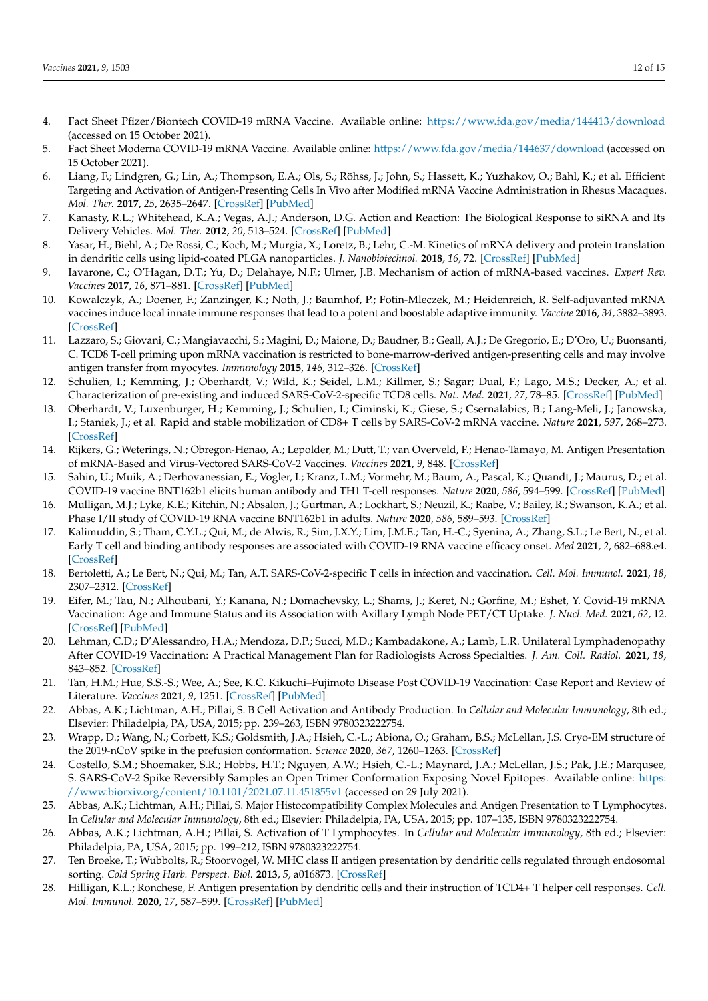- <span id="page-11-0"></span>4. Fact Sheet Pfizer/Biontech COVID-19 mRNA Vaccine. Available online: <https://www.fda.gov/media/144413/download> (accessed on 15 October 2021).
- <span id="page-11-1"></span>5. Fact Sheet Moderna COVID-19 mRNA Vaccine. Available online: <https://www.fda.gov/media/144637/download> (accessed on 15 October 2021).
- <span id="page-11-2"></span>6. Liang, F.; Lindgren, G.; Lin, A.; Thompson, E.A.; Ols, S.; Röhss, J.; John, S.; Hassett, K.; Yuzhakov, O.; Bahl, K.; et al. Efficient Targeting and Activation of Antigen-Presenting Cells In Vivo after Modified mRNA Vaccine Administration in Rhesus Macaques. *Mol. Ther.* **2017**, *25*, 2635–2647. [\[CrossRef\]](http://doi.org/10.1016/j.ymthe.2017.08.006) [\[PubMed\]](http://www.ncbi.nlm.nih.gov/pubmed/28958578)
- <span id="page-11-3"></span>7. Kanasty, R.L.; Whitehead, K.A.; Vegas, A.J.; Anderson, D.G. Action and Reaction: The Biological Response to siRNA and Its Delivery Vehicles. *Mol. Ther.* **2012**, *20*, 513–524. [\[CrossRef\]](http://doi.org/10.1038/mt.2011.294) [\[PubMed\]](http://www.ncbi.nlm.nih.gov/pubmed/22252451)
- <span id="page-11-4"></span>8. Yasar, H.; Biehl, A.; De Rossi, C.; Koch, M.; Murgia, X.; Loretz, B.; Lehr, C.-M. Kinetics of mRNA delivery and protein translation in dendritic cells using lipid-coated PLGA nanoparticles. *J. Nanobiotechnol.* **2018**, *16*, 72. [\[CrossRef\]](http://doi.org/10.1186/s12951-018-0401-y) [\[PubMed\]](http://www.ncbi.nlm.nih.gov/pubmed/30231888)
- <span id="page-11-5"></span>9. Iavarone, C.; O'Hagan, D.T.; Yu, D.; Delahaye, N.F.; Ulmer, J.B. Mechanism of action of mRNA-based vaccines. *Expert Rev. Vaccines* **2017**, *16*, 871–881. [\[CrossRef\]](http://doi.org/10.1080/14760584.2017.1355245) [\[PubMed\]](http://www.ncbi.nlm.nih.gov/pubmed/28701102)
- <span id="page-11-6"></span>10. Kowalczyk, A.; Doener, F.; Zanzinger, K.; Noth, J.; Baumhof, P.; Fotin-Mleczek, M.; Heidenreich, R. Self-adjuvanted mRNA vaccines induce local innate immune responses that lead to a potent and boostable adaptive immunity. *Vaccine* **2016**, *34*, 3882–3893. [\[CrossRef\]](http://doi.org/10.1016/j.vaccine.2016.05.046)
- <span id="page-11-7"></span>11. Lazzaro, S.; Giovani, C.; Mangiavacchi, S.; Magini, D.; Maione, D.; Baudner, B.; Geall, A.J.; De Gregorio, E.; D'Oro, U.; Buonsanti, C. TCD8 T-cell priming upon mRNA vaccination is restricted to bone-marrow-derived antigen-presenting cells and may involve antigen transfer from myocytes. *Immunology* **2015**, *146*, 312–326. [\[CrossRef\]](http://doi.org/10.1111/imm.12505)
- <span id="page-11-8"></span>12. Schulien, I.; Kemming, J.; Oberhardt, V.; Wild, K.; Seidel, L.M.; Killmer, S.; Sagar; Dual, F.; Lago, M.S.; Decker, A.; et al. Characterization of pre-existing and induced SARS-CoV-2-specific TCD8 cells. *Nat. Med.* **2021**, *27*, 78–85. [\[CrossRef\]](http://doi.org/10.1038/s41591-020-01143-2) [\[PubMed\]](http://www.ncbi.nlm.nih.gov/pubmed/33184509)
- <span id="page-11-9"></span>13. Oberhardt, V.; Luxenburger, H.; Kemming, J.; Schulien, I.; Ciminski, K.; Giese, S.; Csernalabics, B.; Lang-Meli, J.; Janowska, I.; Staniek, J.; et al. Rapid and stable mobilization of CD8+ T cells by SARS-CoV-2 mRNA vaccine. *Nature* **2021**, *597*, 268–273. [\[CrossRef\]](http://doi.org/10.1038/s41586-021-03841-4)
- <span id="page-11-10"></span>14. Rijkers, G.; Weterings, N.; Obregon-Henao, A.; Lepolder, M.; Dutt, T.; van Overveld, F.; Henao-Tamayo, M. Antigen Presentation of mRNA-Based and Virus-Vectored SARS-CoV-2 Vaccines. *Vaccines* **2021**, *9*, 848. [\[CrossRef\]](http://doi.org/10.3390/vaccines9080848)
- <span id="page-11-11"></span>15. Sahin, U.; Muik, A.; Derhovanessian, E.; Vogler, I.; Kranz, L.M.; Vormehr, M.; Baum, A.; Pascal, K.; Quandt, J.; Maurus, D.; et al. COVID-19 vaccine BNT162b1 elicits human antibody and TH1 T-cell responses. *Nature* **2020**, *586*, 594–599. [\[CrossRef\]](http://doi.org/10.1038/s41586-020-2814-7) [\[PubMed\]](http://www.ncbi.nlm.nih.gov/pubmed/32998157)
- <span id="page-11-12"></span>16. Mulligan, M.J.; Lyke, K.E.; Kitchin, N.; Absalon, J.; Gurtman, A.; Lockhart, S.; Neuzil, K.; Raabe, V.; Bailey, R.; Swanson, K.A.; et al. Phase I/II study of COVID-19 RNA vaccine BNT162b1 in adults. *Nature* **2020**, *586*, 589–593. [\[CrossRef\]](http://doi.org/10.1038/s41586-020-2639-4)
- <span id="page-11-13"></span>17. Kalimuddin, S.; Tham, C.Y.L.; Qui, M.; de Alwis, R.; Sim, J.X.Y.; Lim, J.M.E.; Tan, H.-C.; Syenina, A.; Zhang, S.L.; Le Bert, N.; et al. Early T cell and binding antibody responses are associated with COVID-19 RNA vaccine efficacy onset. *Med* **2021**, *2*, 682–688.e4. [\[CrossRef\]](http://doi.org/10.1016/j.medj.2021.04.003)
- <span id="page-11-14"></span>18. Bertoletti, A.; Le Bert, N.; Qui, M.; Tan, A.T. SARS-CoV-2-specific T cells in infection and vaccination. *Cell. Mol. Immunol.* **2021**, *18*, 2307–2312. [\[CrossRef\]](http://doi.org/10.1038/s41423-021-00743-3)
- <span id="page-11-15"></span>19. Eifer, M.; Tau, N.; Alhoubani, Y.; Kanana, N.; Domachevsky, L.; Shams, J.; Keret, N.; Gorfine, M.; Eshet, Y. Covid-19 mRNA Vaccination: Age and Immune Status and its Association with Axillary Lymph Node PET/CT Uptake. *J. Nucl. Med.* **2021**, *62*, 12. [\[CrossRef\]](http://doi.org/10.2967/jnumed.121.262194) [\[PubMed\]](http://www.ncbi.nlm.nih.gov/pubmed/33893188)
- <span id="page-11-16"></span>20. Lehman, C.D.; D'Alessandro, H.A.; Mendoza, D.P.; Succi, M.D.; Kambadakone, A.; Lamb, L.R. Unilateral Lymphadenopathy After COVID-19 Vaccination: A Practical Management Plan for Radiologists Across Specialties. *J. Am. Coll. Radiol.* **2021**, *18*, 843–852. [\[CrossRef\]](http://doi.org/10.1016/j.jacr.2021.03.001)
- <span id="page-11-17"></span>21. Tan, H.M.; Hue, S.S.-S.; Wee, A.; See, K.C. Kikuchi–Fujimoto Disease Post COVID-19 Vaccination: Case Report and Review of Literature. *Vaccines* **2021**, *9*, 1251. [\[CrossRef\]](http://doi.org/10.3390/vaccines9111251) [\[PubMed\]](http://www.ncbi.nlm.nih.gov/pubmed/34835182)
- <span id="page-11-18"></span>22. Abbas, A.K.; Lichtman, A.H.; Pillai, S. B Cell Activation and Antibody Production. In *Cellular and Molecular Immunology*, 8th ed.; Elsevier: Philadelpia, PA, USA, 2015; pp. 239–263, ISBN 9780323222754.
- <span id="page-11-19"></span>23. Wrapp, D.; Wang, N.; Corbett, K.S.; Goldsmith, J.A.; Hsieh, C.-L.; Abiona, O.; Graham, B.S.; McLellan, J.S. Cryo-EM structure of the 2019-nCoV spike in the prefusion conformation. *Science* **2020**, *367*, 1260–1263. [\[CrossRef\]](http://doi.org/10.1126/science.abb2507)
- <span id="page-11-20"></span>24. Costello, S.M.; Shoemaker, S.R.; Hobbs, H.T.; Nguyen, A.W.; Hsieh, C.-L.; Maynard, J.A.; McLellan, J.S.; Pak, J.E.; Marqusee, S. SARS-CoV-2 Spike Reversibly Samples an Open Trimer Conformation Exposing Novel Epitopes. Available online: [https:](https://www.biorxiv.org/content/10.1101/2021.07.11.451855v1) [//www.biorxiv.org/content/10.1101/2021.07.11.451855v1](https://www.biorxiv.org/content/10.1101/2021.07.11.451855v1) (accessed on 29 July 2021).
- <span id="page-11-21"></span>25. Abbas, A.K.; Lichtman, A.H.; Pillai, S. Major Histocompatibility Complex Molecules and Antigen Presentation to T Lymphocytes. In *Cellular and Molecular Immunology*, 8th ed.; Elsevier: Philadelpia, PA, USA, 2015; pp. 107–135, ISBN 9780323222754.
- <span id="page-11-22"></span>26. Abbas, A.K.; Lichtman, A.H.; Pillai, S. Activation of T Lymphocytes. In *Cellular and Molecular Immunology*, 8th ed.; Elsevier: Philadelpia, PA, USA, 2015; pp. 199–212, ISBN 9780323222754.
- <span id="page-11-23"></span>27. Ten Broeke, T.; Wubbolts, R.; Stoorvogel, W. MHC class II antigen presentation by dendritic cells regulated through endosomal sorting. *Cold Spring Harb. Perspect. Biol.* **2013**, *5*, a016873. [\[CrossRef\]](http://doi.org/10.1101/cshperspect.a016873)
- <span id="page-11-24"></span>28. Hilligan, K.L.; Ronchese, F. Antigen presentation by dendritic cells and their instruction of TCD4+ T helper cell responses. *Cell. Mol. Immunol.* **2020**, *17*, 587–599. [\[CrossRef\]](http://doi.org/10.1038/s41423-020-0465-0) [\[PubMed\]](http://www.ncbi.nlm.nih.gov/pubmed/32433540)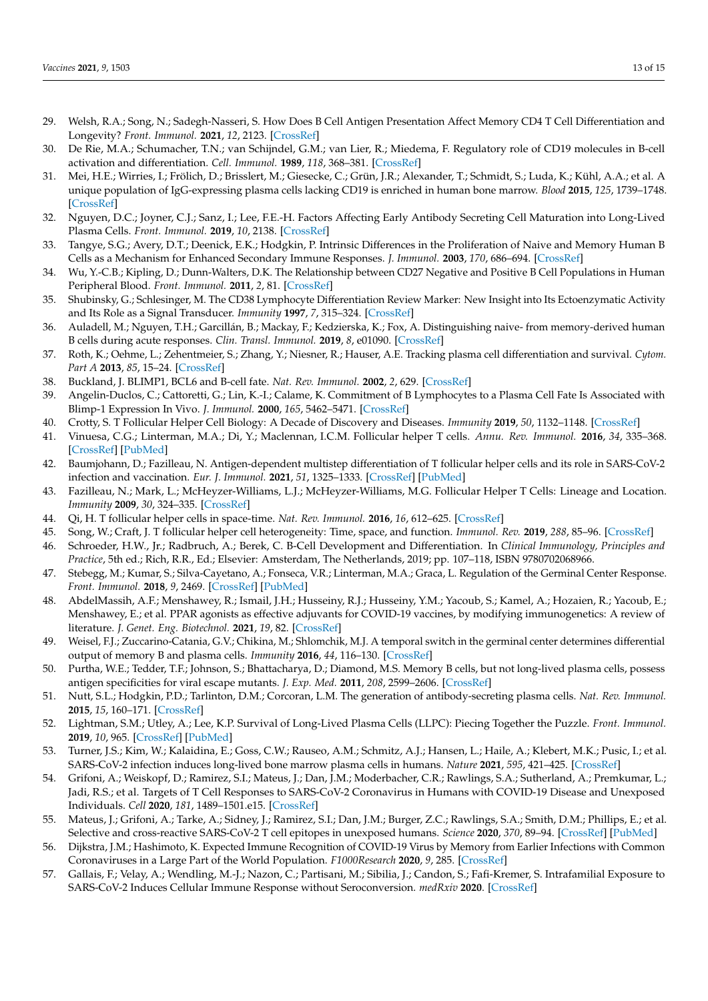- <span id="page-12-0"></span>29. Welsh, R.A.; Song, N.; Sadegh-Nasseri, S. How Does B Cell Antigen Presentation Affect Memory CD4 T Cell Differentiation and Longevity? *Front. Immunol.* **2021**, *12*, 2123. [\[CrossRef\]](http://doi.org/10.3389/fimmu.2021.677036)
- <span id="page-12-1"></span>30. De Rie, M.A.; Schumacher, T.N.; van Schijndel, G.M.; van Lier, R.; Miedema, F. Regulatory role of CD19 molecules in B-cell activation and differentiation. *Cell. Immunol.* **1989**, *118*, 368–381. [\[CrossRef\]](http://doi.org/10.1016/0008-8749(89)90385-7)
- <span id="page-12-2"></span>31. Mei, H.E.; Wirries, I.; Frölich, D.; Brisslert, M.; Giesecke, C.; Grün, J.R.; Alexander, T.; Schmidt, S.; Luda, K.; Kühl, A.A.; et al. A unique population of IgG-expressing plasma cells lacking CD19 is enriched in human bone marrow. *Blood* **2015**, *125*, 1739–1748. [\[CrossRef\]](http://doi.org/10.1182/blood-2014-02-555169)
- <span id="page-12-3"></span>32. Nguyen, D.C.; Joyner, C.J.; Sanz, I.; Lee, F.E.-H. Factors Affecting Early Antibody Secreting Cell Maturation into Long-Lived Plasma Cells. *Front. Immunol.* **2019**, *10*, 2138. [\[CrossRef\]](http://doi.org/10.3389/fimmu.2019.02138)
- <span id="page-12-4"></span>33. Tangye, S.G.; Avery, D.T.; Deenick, E.K.; Hodgkin, P. Intrinsic Differences in the Proliferation of Naive and Memory Human B Cells as a Mechanism for Enhanced Secondary Immune Responses. *J. Immunol.* **2003**, *170*, 686–694. [\[CrossRef\]](http://doi.org/10.4049/jimmunol.170.2.686)
- <span id="page-12-5"></span>34. Wu, Y.-C.B.; Kipling, D.; Dunn-Walters, D.K. The Relationship between CD27 Negative and Positive B Cell Populations in Human Peripheral Blood. *Front. Immunol.* **2011**, *2*, 81. [\[CrossRef\]](http://doi.org/10.3389/fimmu.2011.00081)
- <span id="page-12-6"></span>35. Shubinsky, G.; Schlesinger, M. The CD38 Lymphocyte Differentiation Review Marker: New Insight into Its Ectoenzymatic Activity and Its Role as a Signal Transducer. *Immunity* **1997**, *7*, 315–324. [\[CrossRef\]](http://doi.org/10.1016/S1074-7613(00)80353-2)
- <span id="page-12-7"></span>36. Auladell, M.; Nguyen, T.H.; Garcillán, B.; Mackay, F.; Kedzierska, K.; Fox, A. Distinguishing naive- from memory-derived human B cells during acute responses. *Clin. Transl. Immunol.* **2019**, *8*, e01090. [\[CrossRef\]](http://doi.org/10.1002/cti2.1090)
- <span id="page-12-8"></span>37. Roth, K.; Oehme, L.; Zehentmeier, S.; Zhang, Y.; Niesner, R.; Hauser, A.E. Tracking plasma cell differentiation and survival. *Cytom. Part A* **2013**, *85*, 15–24. [\[CrossRef\]](http://doi.org/10.1002/cyto.a.22355)
- <span id="page-12-9"></span>38. Buckland, J. BLIMP1, BCL6 and B-cell fate. *Nat. Rev. Immunol.* **2002**, *2*, 629. [\[CrossRef\]](http://doi.org/10.1038/nri903)
- <span id="page-12-10"></span>39. Angelin-Duclos, C.; Cattoretti, G.; Lin, K.-I.; Calame, K. Commitment of B Lymphocytes to a Plasma Cell Fate Is Associated with Blimp-1 Expression In Vivo. *J. Immunol.* **2000**, *165*, 5462–5471. [\[CrossRef\]](http://doi.org/10.4049/jimmunol.165.10.5462)
- <span id="page-12-11"></span>40. Crotty, S. T Follicular Helper Cell Biology: A Decade of Discovery and Diseases. *Immunity* **2019**, *50*, 1132–1148. [\[CrossRef\]](http://doi.org/10.1016/j.immuni.2019.04.011)
- 41. Vinuesa, C.G.; Linterman, M.A.; Di, Y.; Maclennan, I.C.M. Follicular helper T cells. *Annu. Rev. Immunol.* **2016**, *34*, 335–368. [\[CrossRef\]](http://doi.org/10.1146/annurev-immunol-041015-055605) [\[PubMed\]](http://www.ncbi.nlm.nih.gov/pubmed/26907215)
- 42. Baumjohann, D.; Fazilleau, N. Antigen-dependent multistep differentiation of T follicular helper cells and its role in SARS-CoV-2 infection and vaccination. *Eur. J. Immunol.* **2021**, *51*, 1325–1333. [\[CrossRef\]](http://doi.org/10.1002/eji.202049148) [\[PubMed\]](http://www.ncbi.nlm.nih.gov/pubmed/33788271)
- 43. Fazilleau, N.; Mark, L.; McHeyzer-Williams, L.J.; McHeyzer-Williams, M.G. Follicular Helper T Cells: Lineage and Location. *Immunity* **2009**, *30*, 324–335. [\[CrossRef\]](http://doi.org/10.1016/j.immuni.2009.03.003)
- 44. Qi, H. T follicular helper cells in space-time. *Nat. Rev. Immunol.* **2016**, *16*, 612–625. [\[CrossRef\]](http://doi.org/10.1038/nri.2016.94)
- <span id="page-12-12"></span>45. Song, W.; Craft, J. T follicular helper cell heterogeneity: Time, space, and function. *Immunol. Rev.* **2019**, *288*, 85–96. [\[CrossRef\]](http://doi.org/10.1111/imr.12740)
- <span id="page-12-13"></span>46. Schroeder, H.W., Jr.; Radbruch, A.; Berek, C. B-Cell Development and Differentiation. In *Clinical Immunology, Principles and Practice*, 5th ed.; Rich, R.R., Ed.; Elsevier: Amsterdam, The Netherlands, 2019; pp. 107–118, ISBN 9780702068966.
- <span id="page-12-14"></span>47. Stebegg, M.; Kumar, S.; Silva-Cayetano, A.; Fonseca, V.R.; Linterman, M.A.; Graca, L. Regulation of the Germinal Center Response. *Front. Immunol.* **2018**, *9*, 2469. [\[CrossRef\]](http://doi.org/10.3389/fimmu.2018.02469) [\[PubMed\]](http://www.ncbi.nlm.nih.gov/pubmed/30410492)
- <span id="page-12-15"></span>48. AbdelMassih, A.F.; Menshawey, R.; Ismail, J.H.; Husseiny, R.J.; Husseiny, Y.M.; Yacoub, S.; Kamel, A.; Hozaien, R.; Yacoub, E.; Menshawey, E.; et al. PPAR agonists as effective adjuvants for COVID-19 vaccines, by modifying immunogenetics: A review of literature. *J. Genet. Eng. Biotechnol.* **2021**, *19*, 82. [\[CrossRef\]](http://doi.org/10.1186/s43141-021-00179-2)
- <span id="page-12-16"></span>49. Weisel, F.J.; Zuccarino-Catania, G.V.; Chikina, M.; Shlomchik, M.J. A temporal switch in the germinal center determines differential output of memory B and plasma cells. *Immunity* **2016**, *44*, 116–130. [\[CrossRef\]](http://doi.org/10.1016/j.immuni.2015.12.004)
- <span id="page-12-17"></span>50. Purtha, W.E.; Tedder, T.F.; Johnson, S.; Bhattacharya, D.; Diamond, M.S. Memory B cells, but not long-lived plasma cells, possess antigen specificities for viral escape mutants. *J. Exp. Med.* **2011**, *208*, 2599–2606. [\[CrossRef\]](http://doi.org/10.1084/jem.20110740)
- <span id="page-12-18"></span>51. Nutt, S.L.; Hodgkin, P.D.; Tarlinton, D.M.; Corcoran, L.M. The generation of antibody-secreting plasma cells. *Nat. Rev. Immunol.* **2015**, *15*, 160–171. [\[CrossRef\]](http://doi.org/10.1038/nri3795)
- <span id="page-12-19"></span>52. Lightman, S.M.; Utley, A.; Lee, K.P. Survival of Long-Lived Plasma Cells (LLPC): Piecing Together the Puzzle. *Front. Immunol.* **2019**, *10*, 965. [\[CrossRef\]](http://doi.org/10.3389/fimmu.2019.00965) [\[PubMed\]](http://www.ncbi.nlm.nih.gov/pubmed/31130955)
- <span id="page-12-20"></span>53. Turner, J.S.; Kim, W.; Kalaidina, E.; Goss, C.W.; Rauseo, A.M.; Schmitz, A.J.; Hansen, L.; Haile, A.; Klebert, M.K.; Pusic, I.; et al. SARS-CoV-2 infection induces long-lived bone marrow plasma cells in humans. *Nature* **2021**, *595*, 421–425. [\[CrossRef\]](http://doi.org/10.1038/s41586-021-03647-4)
- <span id="page-12-21"></span>54. Grifoni, A.; Weiskopf, D.; Ramirez, S.I.; Mateus, J.; Dan, J.M.; Moderbacher, C.R.; Rawlings, S.A.; Sutherland, A.; Premkumar, L.; Jadi, R.S.; et al. Targets of T Cell Responses to SARS-CoV-2 Coronavirus in Humans with COVID-19 Disease and Unexposed Individuals. *Cell* **2020**, *181*, 1489–1501.e15. [\[CrossRef\]](http://doi.org/10.1016/j.cell.2020.05.015)
- 55. Mateus, J.; Grifoni, A.; Tarke, A.; Sidney, J.; Ramirez, S.I.; Dan, J.M.; Burger, Z.C.; Rawlings, S.A.; Smith, D.M.; Phillips, E.; et al. Selective and cross-reactive SARS-CoV-2 T cell epitopes in unexposed humans. *Science* **2020**, *370*, 89–94. [\[CrossRef\]](http://doi.org/10.1126/science.abd3871) [\[PubMed\]](http://www.ncbi.nlm.nih.gov/pubmed/32753554)
- <span id="page-12-22"></span>56. Dijkstra, J.M.; Hashimoto, K. Expected Immune Recognition of COVID-19 Virus by Memory from Earlier Infections with Common Coronaviruses in a Large Part of the World Population. *F1000Research* **2020**, *9*, 285. [\[CrossRef\]](http://doi.org/10.12688/f1000research.23458.1)
- <span id="page-12-23"></span>57. Gallais, F.; Velay, A.; Wendling, M.-J.; Nazon, C.; Partisani, M.; Sibilia, J.; Candon, S.; Fafi-Kremer, S. Intrafamilial Exposure to SARS-CoV-2 Induces Cellular Immune Response without Seroconversion. *medRxiv* **2020**. [\[CrossRef\]](http://doi.org/10.1101/2020.06.21.20132449)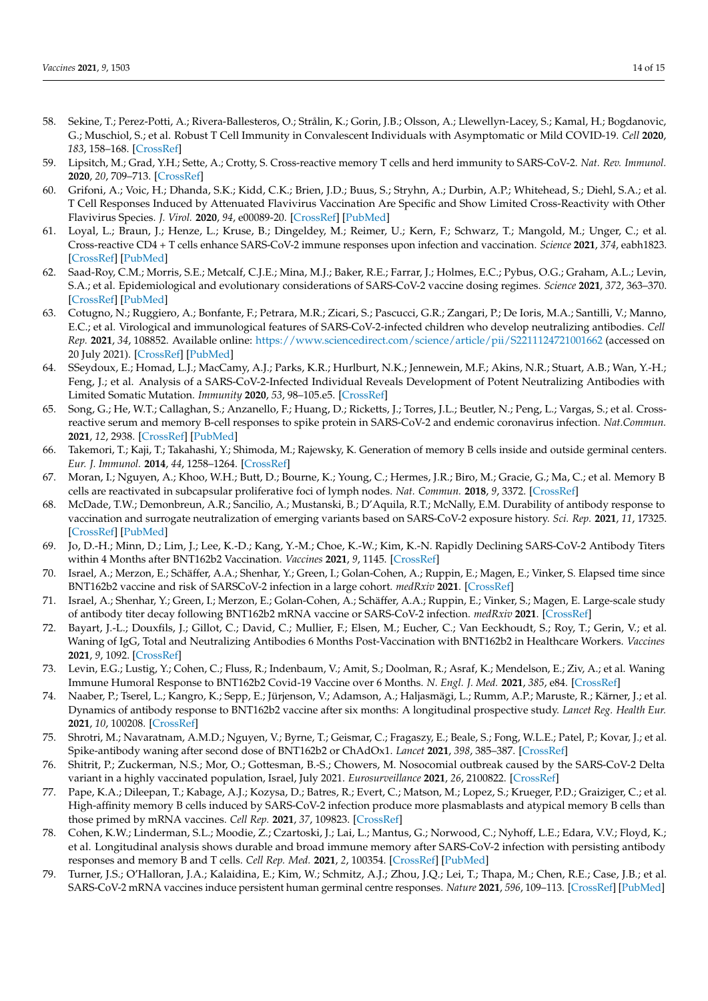- <span id="page-13-0"></span>58. Sekine, T.; Perez-Potti, A.; Rivera-Ballesteros, O.; Strålin, K.; Gorin, J.B.; Olsson, A.; Llewellyn-Lacey, S.; Kamal, H.; Bogdanovic, G.; Muschiol, S.; et al. Robust T Cell Immunity in Convalescent Individuals with Asymptomatic or Mild COVID-19. *Cell* **2020**, *183*, 158–168. [\[CrossRef\]](http://doi.org/10.1016/j.cell.2020.08.017)
- <span id="page-13-1"></span>59. Lipsitch, M.; Grad, Y.H.; Sette, A.; Crotty, S. Cross-reactive memory T cells and herd immunity to SARS-CoV-2. *Nat. Rev. Immunol.* **2020**, *20*, 709–713. [\[CrossRef\]](http://doi.org/10.1038/s41577-020-00460-4)
- <span id="page-13-2"></span>60. Grifoni, A.; Voic, H.; Dhanda, S.K.; Kidd, C.K.; Brien, J.D.; Buus, S.; Stryhn, A.; Durbin, A.P.; Whitehead, S.; Diehl, S.A.; et al. T Cell Responses Induced by Attenuated Flavivirus Vaccination Are Specific and Show Limited Cross-Reactivity with Other Flavivirus Species. *J. Virol.* **2020**, *94*, e00089-20. [\[CrossRef\]](http://doi.org/10.1128/JVI.00089-20) [\[PubMed\]](http://www.ncbi.nlm.nih.gov/pubmed/32132233)
- <span id="page-13-3"></span>61. Loyal, L.; Braun, J.; Henze, L.; Kruse, B.; Dingeldey, M.; Reimer, U.; Kern, F.; Schwarz, T.; Mangold, M.; Unger, C.; et al. Cross-reactive CD4 + T cells enhance SARS-CoV-2 immune responses upon infection and vaccination. *Science* **2021**, *374*, eabh1823. [\[CrossRef\]](http://doi.org/10.1126/science.abh1823) [\[PubMed\]](http://www.ncbi.nlm.nih.gov/pubmed/34465633)
- <span id="page-13-4"></span>62. Saad-Roy, C.M.; Morris, S.E.; Metcalf, C.J.E.; Mina, M.J.; Baker, R.E.; Farrar, J.; Holmes, E.C.; Pybus, O.G.; Graham, A.L.; Levin, S.A.; et al. Epidemiological and evolutionary considerations of SARS-CoV-2 vaccine dosing regimes. *Science* **2021**, *372*, 363–370. [\[CrossRef\]](http://doi.org/10.1126/science.abg8663) [\[PubMed\]](http://www.ncbi.nlm.nih.gov/pubmed/33688062)
- <span id="page-13-5"></span>63. Cotugno, N.; Ruggiero, A.; Bonfante, F.; Petrara, M.R.; Zicari, S.; Pascucci, G.R.; Zangari, P.; De Ioris, M.A.; Santilli, V.; Manno, E.C.; et al. Virological and immunological features of SARS-CoV-2-infected children who develop neutralizing antibodies. *Cell Rep.* **2021**, *34*, 108852. Available online: <https://www.sciencedirect.com/science/article/pii/S2211124721001662> (accessed on 20 July 2021). [\[CrossRef\]](http://doi.org/10.1016/j.celrep.2021.108852) [\[PubMed\]](http://www.ncbi.nlm.nih.gov/pubmed/33730580)
- <span id="page-13-6"></span>64. SSeydoux, E.; Homad, L.J.; MacCamy, A.J.; Parks, K.R.; Hurlburt, N.K.; Jennewein, M.F.; Akins, N.R.; Stuart, A.B.; Wan, Y.-H.; Feng, J.; et al. Analysis of a SARS-CoV-2-Infected Individual Reveals Development of Potent Neutralizing Antibodies with Limited Somatic Mutation. *Immunity* **2020**, *53*, 98–105.e5. [\[CrossRef\]](http://doi.org/10.1016/j.immuni.2020.06.001)
- <span id="page-13-7"></span>65. Song, G.; He, W.T.; Callaghan, S.; Anzanello, F.; Huang, D.; Ricketts, J.; Torres, J.L.; Beutler, N.; Peng, L.; Vargas, S.; et al. Crossreactive serum and memory B-cell responses to spike protein in SARS-CoV-2 and endemic coronavirus infection. *Nat.Commun.* **2021**, *12*, 2938. [\[CrossRef\]](http://doi.org/10.1038/s41467-021-23074-3) [\[PubMed\]](http://www.ncbi.nlm.nih.gov/pubmed/34011939)
- <span id="page-13-8"></span>66. Takemori, T.; Kaji, T.; Takahashi, Y.; Shimoda, M.; Rajewsky, K. Generation of memory B cells inside and outside germinal centers. *Eur. J. Immunol.* **2014**, *44*, 1258–1264. [\[CrossRef\]](http://doi.org/10.1002/eji.201343716)
- <span id="page-13-9"></span>67. Moran, I.; Nguyen, A.; Khoo, W.H.; Butt, D.; Bourne, K.; Young, C.; Hermes, J.R.; Biro, M.; Gracie, G.; Ma, C.; et al. Memory B cells are reactivated in subcapsular proliferative foci of lymph nodes. *Nat. Commun.* **2018**, *9*, 3372. [\[CrossRef\]](http://doi.org/10.1038/s41467-018-05772-7)
- <span id="page-13-10"></span>68. McDade, T.W.; Demonbreun, A.R.; Sancilio, A.; Mustanski, B.; D'Aquila, R.T.; McNally, E.M. Durability of antibody response to vaccination and surrogate neutralization of emerging variants based on SARS-CoV-2 exposure history. *Sci. Rep.* **2021**, *11*, 17325. [\[CrossRef\]](http://doi.org/10.1038/s41598-021-96879-3) [\[PubMed\]](http://www.ncbi.nlm.nih.gov/pubmed/34462501)
- 69. Jo, D.-H.; Minn, D.; Lim, J.; Lee, K.-D.; Kang, Y.-M.; Choe, K.-W.; Kim, K.-N. Rapidly Declining SARS-CoV-2 Antibody Titers within 4 Months after BNT162b2 Vaccination. *Vaccines* **2021**, *9*, 1145. [\[CrossRef\]](http://doi.org/10.3390/vaccines9101145)
- 70. Israel, A.; Merzon, E.; Schäffer, A.A.; Shenhar, Y.; Green, I.; Golan-Cohen, A.; Ruppin, E.; Magen, E.; Vinker, S. Elapsed time since BNT162b2 vaccine and risk of SARSCoV-2 infection in a large cohort. *medRxiv* **2021**. [\[CrossRef\]](http://doi.org/10.1101/2021.08.03.21261496)
- 71. Israel, A.; Shenhar, Y.; Green, I.; Merzon, E.; Golan-Cohen, A.; Schäffer, A.A.; Ruppin, E.; Vinker, S.; Magen, E. Large-scale study of antibody titer decay following BNT162b2 mRNA vaccine or SARS-CoV-2 infection. *medRxiv* **2021**. [\[CrossRef\]](http://doi.org/10.1101/2021.08.19.21262111)
- 72. Bayart, J.-L.; Douxfils, J.; Gillot, C.; David, C.; Mullier, F.; Elsen, M.; Eucher, C.; Van Eeckhoudt, S.; Roy, T.; Gerin, V.; et al. Waning of IgG, Total and Neutralizing Antibodies 6 Months Post-Vaccination with BNT162b2 in Healthcare Workers. *Vaccines* **2021**, *9*, 1092. [\[CrossRef\]](http://doi.org/10.3390/vaccines9101092)
- <span id="page-13-11"></span>73. Levin, E.G.; Lustig, Y.; Cohen, C.; Fluss, R.; Indenbaum, V.; Amit, S.; Doolman, R.; Asraf, K.; Mendelson, E.; Ziv, A.; et al. Waning Immune Humoral Response to BNT162b2 Covid-19 Vaccine over 6 Months. *N. Engl. J. Med.* **2021**, *385*, e84. [\[CrossRef\]](http://doi.org/10.1056/NEJMoa2114583)
- <span id="page-13-12"></span>74. Naaber, P.; Tserel, L.; Kangro, K.; Sepp, E.; Jürjenson, V.; Adamson, A.; Haljasmägi, L.; Rumm, A.P.; Maruste, R.; Kärner, J.; et al. Dynamics of antibody response to BNT162b2 vaccine after six months: A longitudinal prospective study. *Lancet Reg. Health Eur.* **2021**, *10*, 100208. [\[CrossRef\]](http://doi.org/10.1016/j.lanepe.2021.100208)
- <span id="page-13-13"></span>75. Shrotri, M.; Navaratnam, A.M.D.; Nguyen, V.; Byrne, T.; Geismar, C.; Fragaszy, E.; Beale, S.; Fong, W.L.E.; Patel, P.; Kovar, J.; et al. Spike-antibody waning after second dose of BNT162b2 or ChAdOx1. *Lancet* **2021**, *398*, 385–387. [\[CrossRef\]](http://doi.org/10.1016/S0140-6736(21)01642-1)
- <span id="page-13-14"></span>76. Shitrit, P.; Zuckerman, N.S.; Mor, O.; Gottesman, B.-S.; Chowers, M. Nosocomial outbreak caused by the SARS-CoV-2 Delta variant in a highly vaccinated population, Israel, July 2021. *Eurosurveillance* **2021**, *26*, 2100822. [\[CrossRef\]](http://doi.org/10.2807/1560-7917.ES.2021.26.39.2100822)
- <span id="page-13-15"></span>77. Pape, K.A.; Dileepan, T.; Kabage, A.J.; Kozysa, D.; Batres, R.; Evert, C.; Matson, M.; Lopez, S.; Krueger, P.D.; Graiziger, C.; et al. High-affinity memory B cells induced by SARS-CoV-2 infection produce more plasmablasts and atypical memory B cells than those primed by mRNA vaccines. *Cell Rep.* **2021**, *37*, 109823. [\[CrossRef\]](http://doi.org/10.1016/j.celrep.2021.109823)
- <span id="page-13-16"></span>78. Cohen, K.W.; Linderman, S.L.; Moodie, Z.; Czartoski, J.; Lai, L.; Mantus, G.; Norwood, C.; Nyhoff, L.E.; Edara, V.V.; Floyd, K.; et al. Longitudinal analysis shows durable and broad immune memory after SARS-CoV-2 infection with persisting antibody responses and memory B and T cells. *Cell Rep. Med.* **2021**, *2*, 100354. [\[CrossRef\]](http://doi.org/10.1016/j.xcrm.2021.100354) [\[PubMed\]](http://www.ncbi.nlm.nih.gov/pubmed/34250512)
- <span id="page-13-17"></span>79. Turner, J.S.; O'Halloran, J.A.; Kalaidina, E.; Kim, W.; Schmitz, A.J.; Zhou, J.Q.; Lei, T.; Thapa, M.; Chen, R.E.; Case, J.B.; et al. SARS-CoV-2 mRNA vaccines induce persistent human germinal centre responses. *Nature* **2021**, *596*, 109–113. [\[CrossRef\]](http://doi.org/10.1038/s41586-021-03738-2) [\[PubMed\]](http://www.ncbi.nlm.nih.gov/pubmed/34182569)